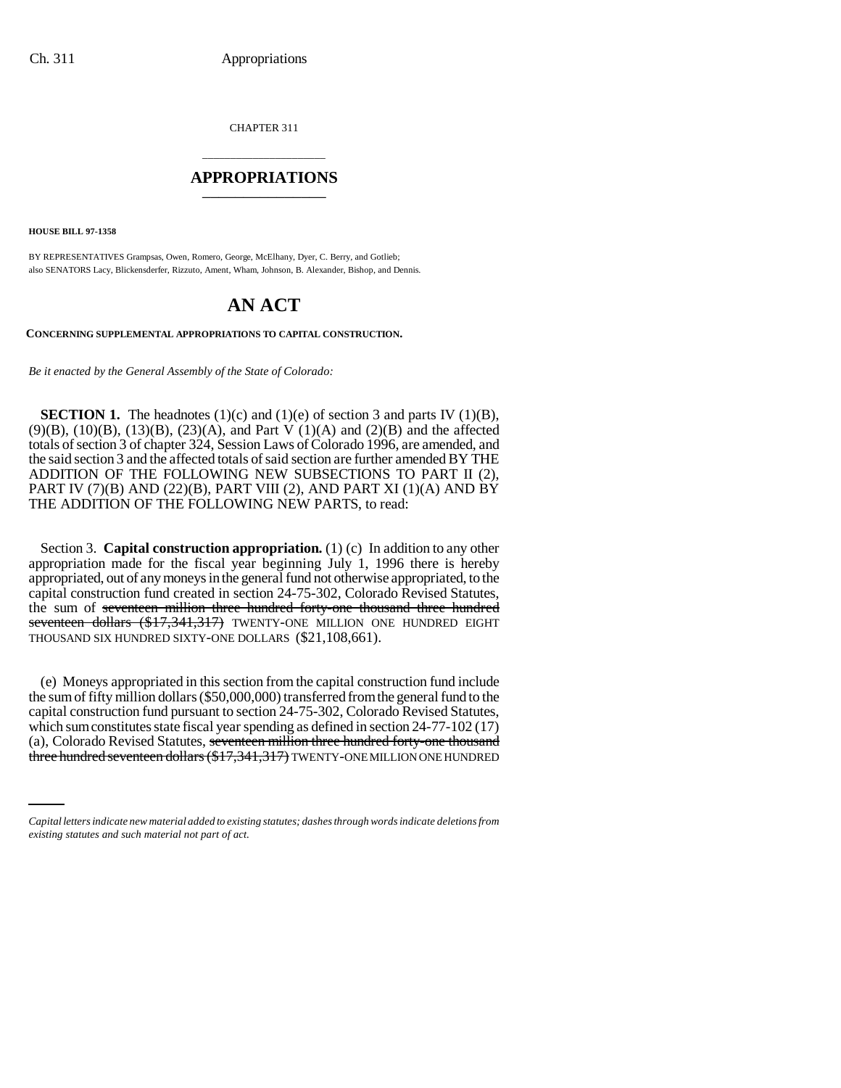CHAPTER 311

### \_\_\_\_\_\_\_\_\_\_\_\_\_\_\_\_\_\_\_\_\_\_ **APPROPRIATIONS** \_\_\_\_\_\_\_\_\_\_\_\_\_\_\_

**HOUSE BILL 97-1358**

BY REPRESENTATIVES Grampsas, Owen, Romero, George, McElhany, Dyer, C. Berry, and Gotlieb; also SENATORS Lacy, Blickensderfer, Rizzuto, Ament, Wham, Johnson, B. Alexander, Bishop, and Dennis.

# **AN ACT**

**CONCERNING SUPPLEMENTAL APPROPRIATIONS TO CAPITAL CONSTRUCTION.**

*Be it enacted by the General Assembly of the State of Colorado:*

**SECTION 1.** The headnotes  $(1)(c)$  and  $(1)(e)$  of section 3 and parts IV  $(1)(B)$ , (9)(B), (10)(B), (13)(B), (23)(A), and Part V (1)(A) and (2)(B) and the affected totals of section 3 of chapter 324, Session Laws of Colorado 1996, are amended, and the said section 3 and the affected totals of said section are further amended BY THE ADDITION OF THE FOLLOWING NEW SUBSECTIONS TO PART II (2), PART IV (7)(B) AND (22)(B), PART VIII (2), AND PART XI (1)(A) AND BY THE ADDITION OF THE FOLLOWING NEW PARTS, to read:

Section 3. **Capital construction appropriation.** (1) (c) In addition to any other appropriation made for the fiscal year beginning July 1, 1996 there is hereby appropriated, out of any moneys in the general fund not otherwise appropriated, to the capital construction fund created in section 24-75-302, Colorado Revised Statutes, the sum of seventeen million three hundred forty-one thousand three hundred seventeen dollars (\$17,341,317) TWENTY-ONE MILLION ONE HUNDRED EIGHT THOUSAND SIX HUNDRED SIXTY-ONE DOLLARS (\$21,108,661).

which sum constitutes state fiscal year spending as defined in section 24-77-102 (17)<br>(a), Colorado Revised Statutes, <del>seventeen million three hundred forty-one thousand</del> (e) Moneys appropriated in this section from the capital construction fund include the sum of fifty million dollars (\$50,000,000) transferred from the general fund to the capital construction fund pursuant to section 24-75-302, Colorado Revised Statutes, which sum constitutes state fiscal year spending as defined in section 24-77-102 (17) three hundred seventeen dollars (\$17,341,317) TWENTY-ONE MILLION ONE HUNDRED

*Capital letters indicate new material added to existing statutes; dashes through words indicate deletions from existing statutes and such material not part of act.*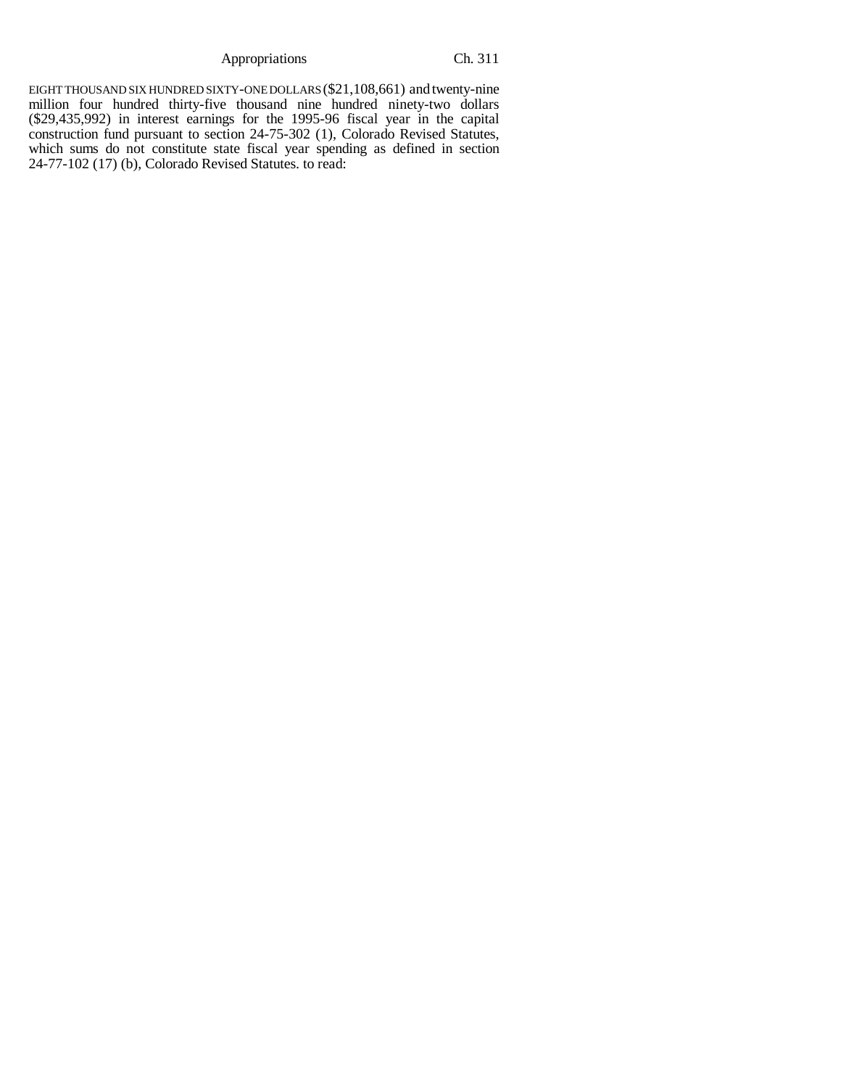Appropriations Ch. 311

EIGHT THOUSAND SIX HUNDRED SIXTY-ONE DOLLARS (\$21,108,661) and twenty-nine million four hundred thirty-five thousand nine hundred ninety-two dollars (\$29,435,992) in interest earnings for the 1995-96 fiscal year in the capital construction fund pursuant to section 24-75-302 (1), Colorado Revised Statutes, which sums do not constitute state fiscal year spending as defined in section 24-77-102 (17) (b), Colorado Revised Statutes. to read: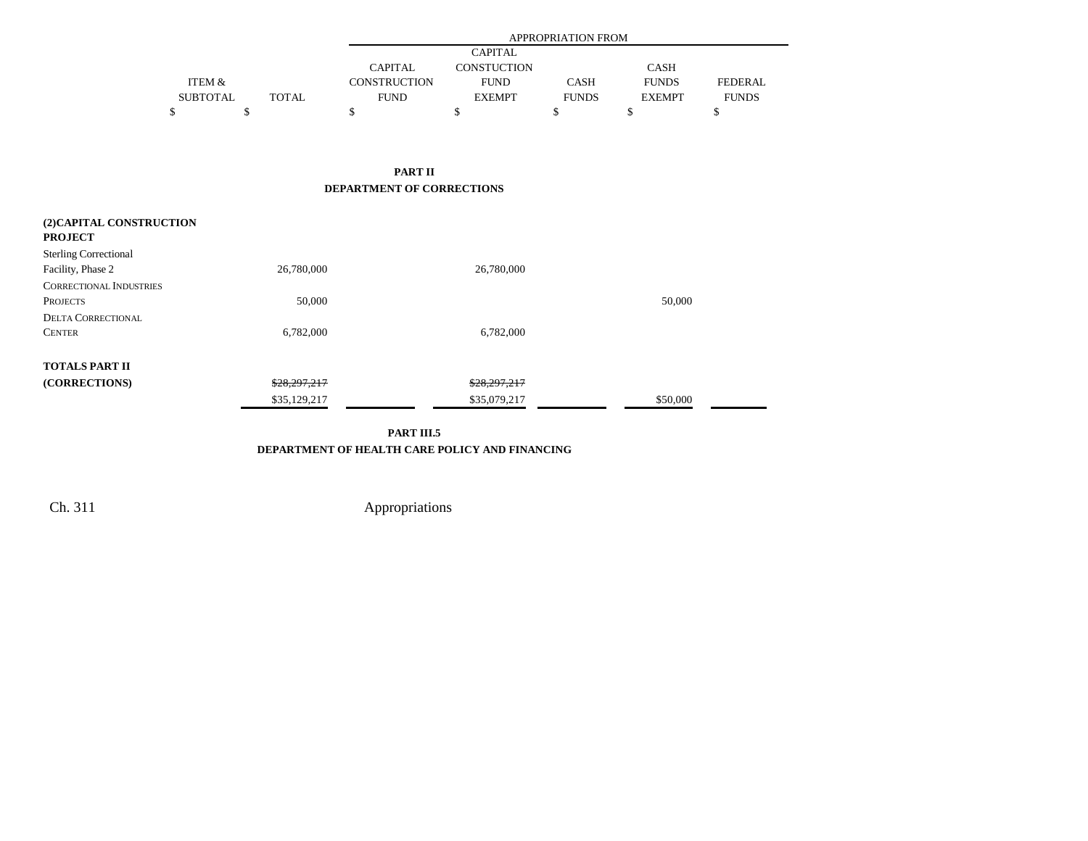|                   |              |                     | APPROPRIATION FROM |              |               |                |  |  |  |  |
|-------------------|--------------|---------------------|--------------------|--------------|---------------|----------------|--|--|--|--|
|                   |              |                     | <b>CAPITAL</b>     |              |               |                |  |  |  |  |
|                   |              | CAPITAL             | <b>CONSTUCTION</b> |              | <b>CASH</b>   |                |  |  |  |  |
| <b>ITEM &amp;</b> |              | <b>CONSTRUCTION</b> | <b>FUND</b>        | <b>CASH</b>  | <b>FUNDS</b>  | <b>FEDERAL</b> |  |  |  |  |
| <b>SUBTOTAL</b>   | <b>TOTAL</b> | <b>FUND</b>         | <b>EXEMPT</b>      | <b>FUNDS</b> | <b>EXEMPT</b> | <b>FUNDS</b>   |  |  |  |  |
|                   |              |                     |                    |              |               |                |  |  |  |  |

 $\blacksquare$ 

**PART II DEPARTMENT OF CORRECTIONS**

| (2) CAPITAL CONSTRUCTION<br><b>PROJECT</b> |              |              |          |
|--------------------------------------------|--------------|--------------|----------|
| <b>Sterling Correctional</b>               |              |              |          |
| Facility, Phase 2                          | 26,780,000   | 26,780,000   |          |
| <b>CORRECTIONAL INDUSTRIES</b>             |              |              |          |
| <b>PROJECTS</b>                            | 50,000       |              | 50,000   |
| <b>DELTA CORRECTIONAL</b>                  |              |              |          |
| <b>CENTER</b>                              | 6,782,000    | 6,782,000    |          |
| <b>TOTALS PART II</b>                      |              |              |          |
| (CORRECTIONS)                              | \$28,297,217 | \$28,297,217 |          |
|                                            | \$35,129,217 | \$35,079,217 | \$50,000 |

**PART III.5**

**DEPARTMENT OF HEALTH CARE POLICY AND FINANCING**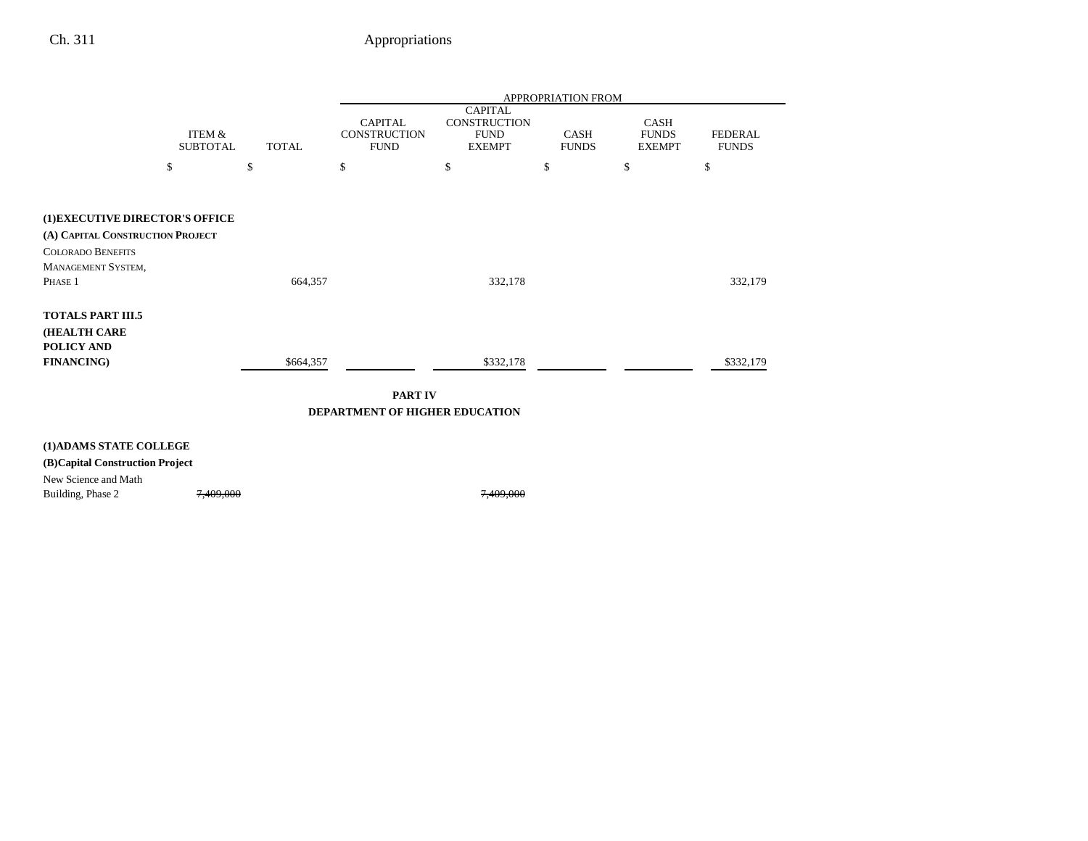|                                  |                           |                                     |    |                                                                       | <b>APPROPRIATION FROM</b> |                                       |                                |
|----------------------------------|---------------------------|-------------------------------------|----|-----------------------------------------------------------------------|---------------------------|---------------------------------------|--------------------------------|
|                                  | ITEM &<br><b>SUBTOTAL</b> | <b>CONSTRUCTION</b><br><b>TOTAL</b> |    | <b>CAPITAL</b><br><b>CONSTRUCTION</b><br><b>FUND</b><br><b>EXEMPT</b> | CASH<br><b>FUNDS</b>      | CASH<br><b>FUNDS</b><br><b>EXEMPT</b> | <b>FEDERAL</b><br><b>FUNDS</b> |
|                                  | \$                        | \$                                  | \$ | \$                                                                    | \$                        | \$                                    | \$                             |
|                                  |                           |                                     |    |                                                                       |                           |                                       |                                |
| (1)EXECUTIVE DIRECTOR'S OFFICE   |                           |                                     |    |                                                                       |                           |                                       |                                |
| (A) CAPITAL CONSTRUCTION PROJECT |                           |                                     |    |                                                                       |                           |                                       |                                |
| <b>COLORADO BENEFITS</b>         |                           |                                     |    |                                                                       |                           |                                       |                                |
| MANAGEMENT SYSTEM,               |                           |                                     |    |                                                                       |                           |                                       |                                |
| Phase 1                          |                           | 664,357                             |    | 332,178                                                               |                           |                                       | 332,179                        |
| <b>TOTALS PART III.5</b>         |                           |                                     |    |                                                                       |                           |                                       |                                |
| <b>(HEALTH CARE</b>              |                           |                                     |    |                                                                       |                           |                                       |                                |
| POLICY AND                       |                           |                                     |    |                                                                       |                           |                                       |                                |
| <b>FINANCING)</b>                |                           | \$664,357                           |    | \$332,178                                                             |                           |                                       | \$332,179                      |
|                                  |                           |                                     |    |                                                                       |                           |                                       |                                |

**PART IV DEPARTMENT OF HIGHER EDUCATION**

### **(1)ADAMS STATE COLLEGE**

### **(B)Capital Construction Project**

New Science and Math

Building, Phase 2 7,409,000 7,409,000 7,409,000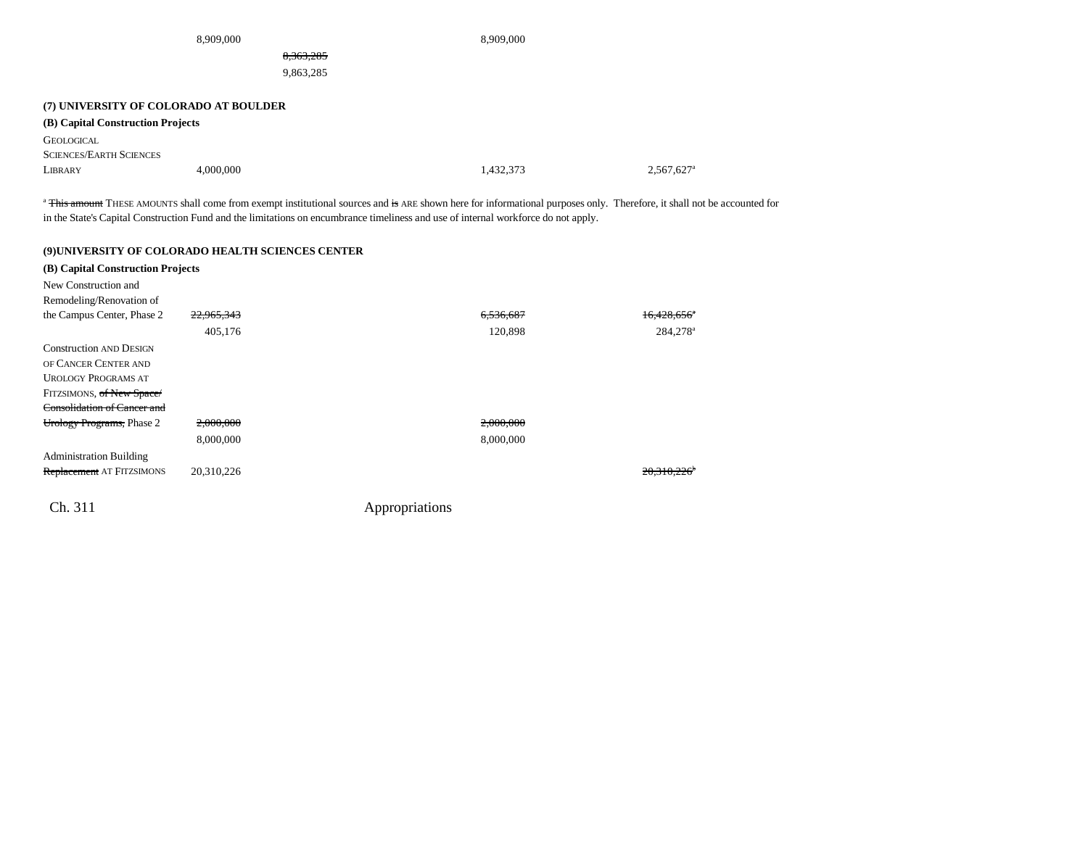| 8,909,000                             |           |           | 8,909,000 |                          |
|---------------------------------------|-----------|-----------|-----------|--------------------------|
| 8,363,285                             |           |           |           |                          |
|                                       |           | 9,863,285 |           |                          |
|                                       |           |           |           |                          |
| (7) UNIVERSITY OF COLORADO AT BOULDER |           |           |           |                          |
| (B) Capital Construction Projects     |           |           |           |                          |
| <b>GEOLOGICAL</b>                     |           |           |           |                          |
| <b>SCIENCES/EARTH SCIENCES</b>        |           |           |           |                          |
| LIBRARY                               | 4,000,000 |           | 1,432,373 | $2,567,627$ <sup>a</sup> |

<sup>a</sup> This amount THESE AMOUNTS shall come from exempt institutional sources and is ARE shown here for informational purposes only. Therefore, it shall not be accounted for in the State's Capital Construction Fund and the limitations on encumbrance timeliness and use of internal workforce do not apply.

#### **(9)UNIVERSITY OF COLORADO HEALTH SCIENCES CENTER**

| (B) Capital Construction Projects  |                       |                |                           |
|------------------------------------|-----------------------|----------------|---------------------------|
| New Construction and               |                       |                |                           |
| Remodeling/Renovation of           |                       |                |                           |
| the Campus Center, Phase 2         | <del>22,965,343</del> | 6.536.687      | $16.428.656$ <sup>*</sup> |
|                                    | 405,176               | 120,898        | 284,278 <sup>a</sup>      |
| <b>Construction AND DESIGN</b>     |                       |                |                           |
| OF CANCER CENTER AND               |                       |                |                           |
| <b>UROLOGY PROGRAMS AT</b>         |                       |                |                           |
| FITZSIMONS, of New Space/          |                       |                |                           |
| <b>Consolidation of Cancer and</b> |                       |                |                           |
| Urology Programs, Phase 2          | 2,000,000             | 2,000,000      |                           |
|                                    | 8,000,000             | 8,000,000      |                           |
| <b>Administration Building</b>     |                       |                |                           |
| <b>Replacement</b> AT FITZSIMONS   | 20,310,226            |                | 20.310.226                |
| Ch. 311                            |                       | Appropriations |                           |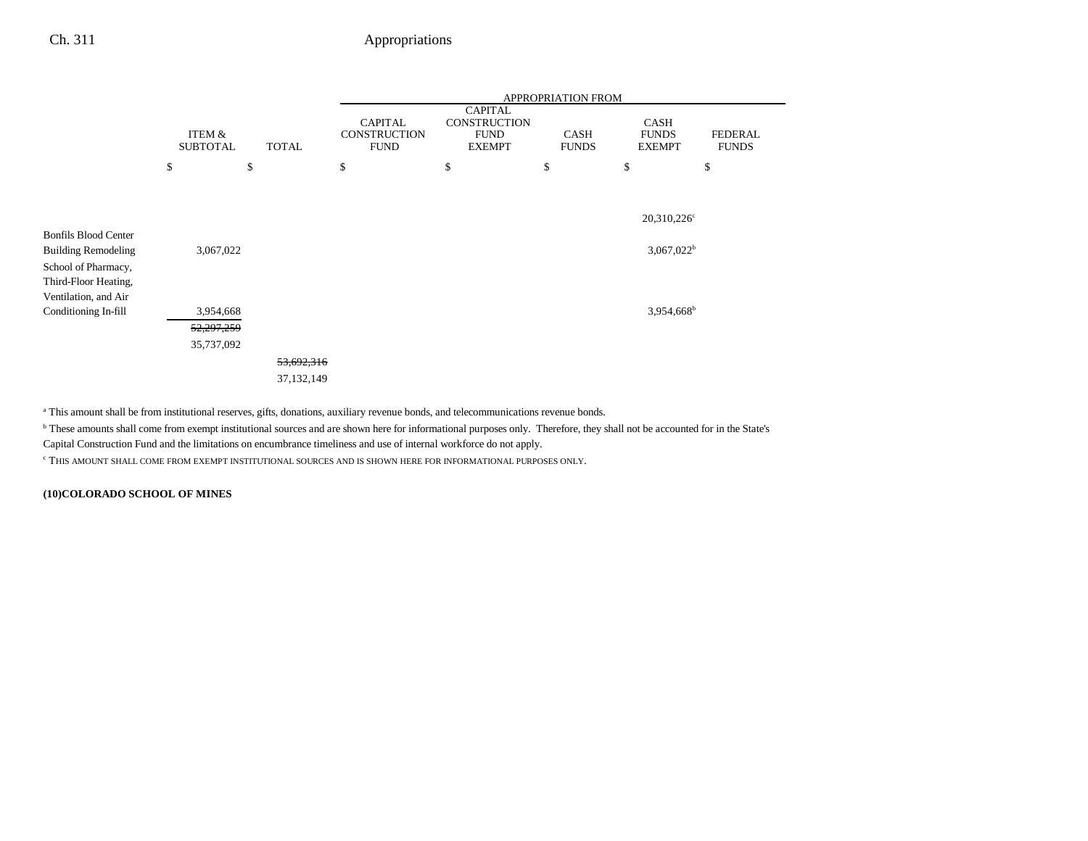|                             |                                           |              | APPROPRIATION FROM                                   |                                                                       |                             |                                       |                                |  |  |  |
|-----------------------------|-------------------------------------------|--------------|------------------------------------------------------|-----------------------------------------------------------------------|-----------------------------|---------------------------------------|--------------------------------|--|--|--|
|                             | ITEM &<br><b>SUBTOTAL</b><br><b>TOTAL</b> |              | <b>CAPITAL</b><br><b>CONSTRUCTION</b><br><b>FUND</b> | <b>CAPITAL</b><br><b>CONSTRUCTION</b><br><b>FUND</b><br><b>EXEMPT</b> | <b>CASH</b><br><b>FUNDS</b> | CASH<br><b>FUNDS</b><br><b>EXEMPT</b> | <b>FEDERAL</b><br><b>FUNDS</b> |  |  |  |
|                             | \$                                        | \$           | \$                                                   | \$                                                                    | \$                          | \$                                    | \$                             |  |  |  |
|                             |                                           |              |                                                      |                                                                       |                             |                                       |                                |  |  |  |
|                             |                                           |              |                                                      |                                                                       |                             | 20,310,226 <sup>c</sup>               |                                |  |  |  |
| <b>Bonfils Blood Center</b> |                                           |              |                                                      |                                                                       |                             |                                       |                                |  |  |  |
| <b>Building Remodeling</b>  | 3,067,022                                 |              |                                                      |                                                                       |                             | $3,067,022^b$                         |                                |  |  |  |
| School of Pharmacy,         |                                           |              |                                                      |                                                                       |                             |                                       |                                |  |  |  |
| Third-Floor Heating,        |                                           |              |                                                      |                                                                       |                             |                                       |                                |  |  |  |
| Ventilation, and Air        |                                           |              |                                                      |                                                                       |                             |                                       |                                |  |  |  |
| Conditioning In-fill        | 3,954,668                                 |              |                                                      |                                                                       |                             | 3,954,668 <sup>b</sup>                |                                |  |  |  |
|                             | 52,297,259                                |              |                                                      |                                                                       |                             |                                       |                                |  |  |  |
|                             | 35,737,092                                |              |                                                      |                                                                       |                             |                                       |                                |  |  |  |
|                             |                                           | 53,692,316   |                                                      |                                                                       |                             |                                       |                                |  |  |  |
|                             |                                           | 37, 132, 149 |                                                      |                                                                       |                             |                                       |                                |  |  |  |

a This amount shall be from institutional reserves, gifts, donations, auxiliary revenue bonds, and telecommunications revenue bonds.

b These amounts shall come from exempt institutional sources and are shown here for informational purposes only. Therefore, they shall not be accounted for in the State's

Capital Construction Fund and the limitations on encumbrance timeliness and use of internal workforce do not apply.

c THIS AMOUNT SHALL COME FROM EXEMPT INSTITUTIONAL SOURCES AND IS SHOWN HERE FOR INFORMATIONAL PURPOSES ONLY.

**(10)COLORADO SCHOOL OF MINES**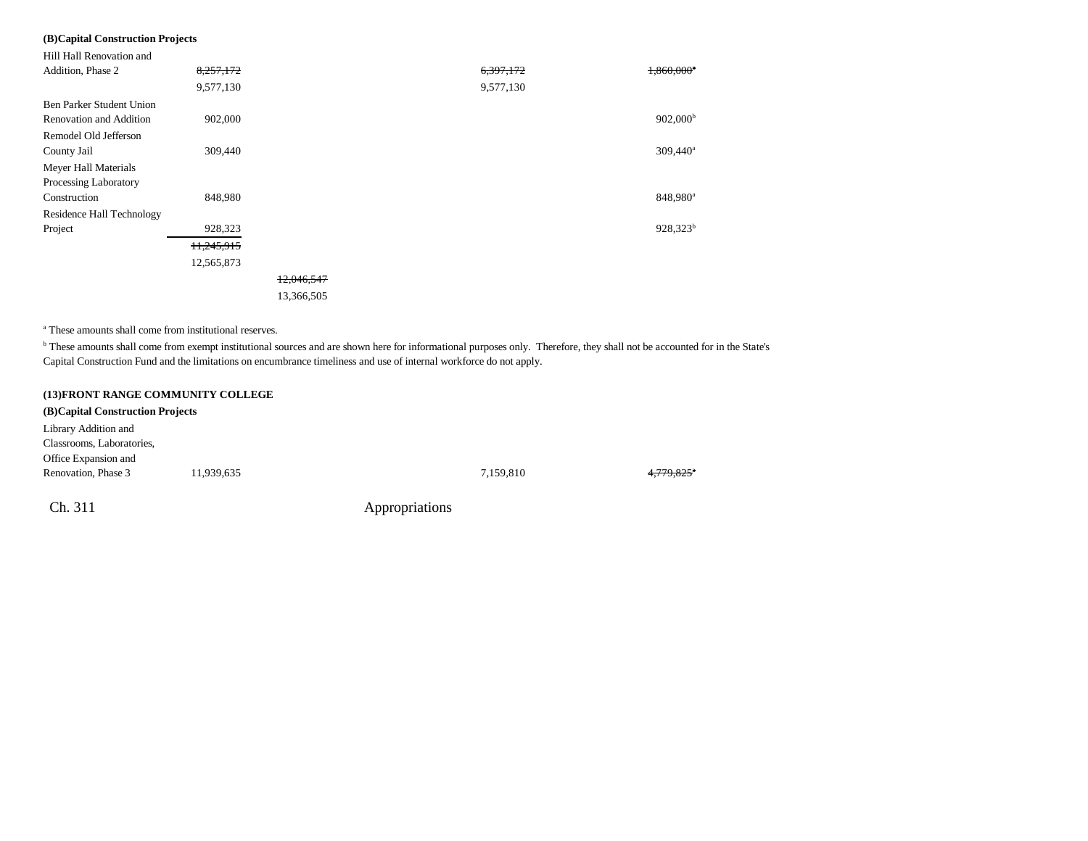### **(B)Capital Construction Projects**

| Hill Hall Renovation and  |            |            |           |                        |
|---------------------------|------------|------------|-----------|------------------------|
| Addition, Phase 2         | 8,257,172  |            | 6,397,172 | 1,860,000*             |
|                           | 9,577,130  |            | 9,577,130 |                        |
| Ben Parker Student Union  |            |            |           |                        |
| Renovation and Addition   | 902,000    |            |           | $902,000^{\rm b}$      |
| Remodel Old Jefferson     |            |            |           |                        |
| County Jail               | 309,440    |            |           | $309,440$ <sup>a</sup> |
| Meyer Hall Materials      |            |            |           |                        |
| Processing Laboratory     |            |            |           |                        |
| Construction              | 848,980    |            |           | 848,980 <sup>a</sup>   |
| Residence Hall Technology |            |            |           |                        |
| Project                   | 928,323    |            |           | 928,323 <sup>b</sup>   |
|                           | 11,245,915 |            |           |                        |
|                           | 12,565,873 |            |           |                        |
|                           |            | 12,046,547 |           |                        |
|                           |            | 13,366,505 |           |                        |

a These amounts shall come from institutional reserves.

b These amounts shall come from exempt institutional sources and are shown here for informational purposes only. Therefore, they shall not be accounted for in the State's Capital Construction Fund and the limitations on encumbrance timeliness and use of internal workforce do not apply.

#### **(13)FRONT RANGE COMMUNITY COLLEGE**

| (B) Capital Construction Projects |            |                |           |            |
|-----------------------------------|------------|----------------|-----------|------------|
| Library Addition and              |            |                |           |            |
| Classrooms, Laboratories,         |            |                |           |            |
| Office Expansion and              |            |                |           |            |
| Renovation, Phase 3               | 11,939,635 |                | 7,159,810 | 4,779,825* |
| Ch. 311                           |            | Appropriations |           |            |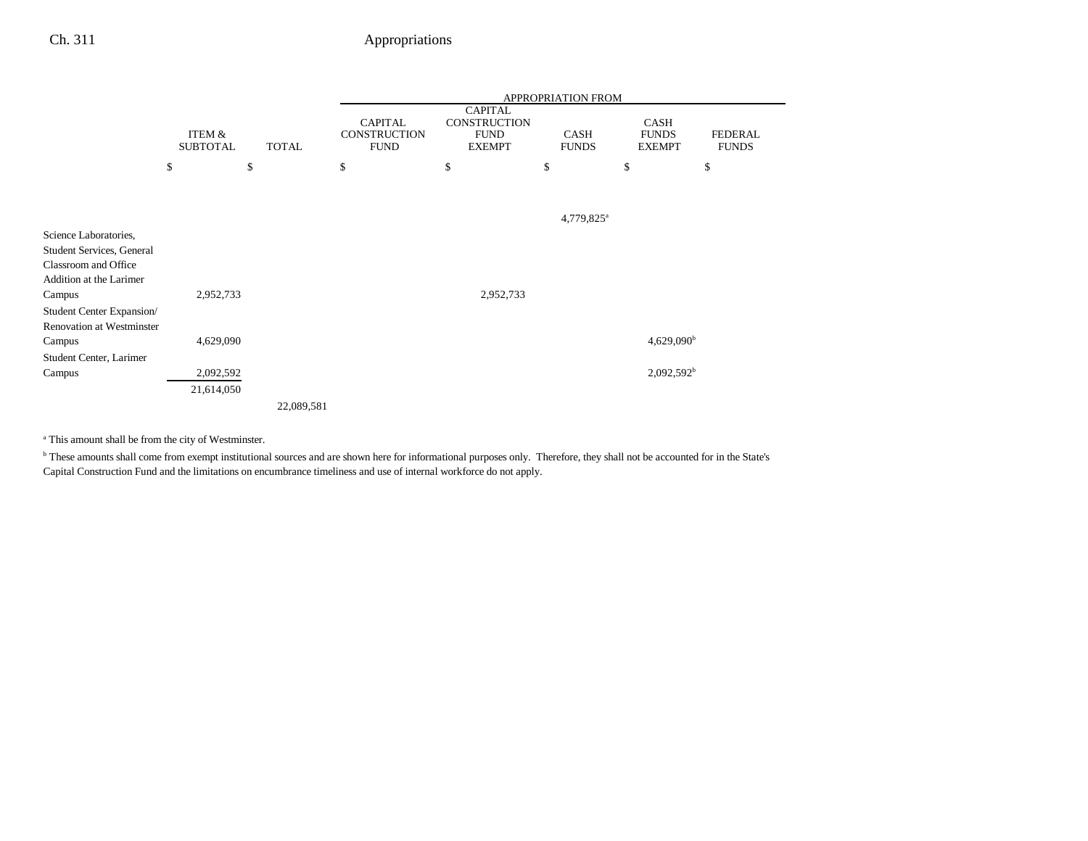|                                  |                           |              |                                               |                                                                       | APPROPRIATION FROM          |                                              |                                |
|----------------------------------|---------------------------|--------------|-----------------------------------------------|-----------------------------------------------------------------------|-----------------------------|----------------------------------------------|--------------------------------|
|                                  | ITEM &<br><b>SUBTOTAL</b> | <b>TOTAL</b> | <b>CAPITAL</b><br>CONSTRUCTION<br><b>FUND</b> | <b>CAPITAL</b><br><b>CONSTRUCTION</b><br><b>FUND</b><br><b>EXEMPT</b> | <b>CASH</b><br><b>FUNDS</b> | <b>CASH</b><br><b>FUNDS</b><br><b>EXEMPT</b> | <b>FEDERAL</b><br><b>FUNDS</b> |
|                                  | \$                        | \$           | \$                                            | \$                                                                    | \$                          | \$                                           | \$                             |
|                                  |                           |              |                                               |                                                                       |                             |                                              |                                |
|                                  |                           |              |                                               |                                                                       | 4,779,825 <sup>a</sup>      |                                              |                                |
| Science Laboratories,            |                           |              |                                               |                                                                       |                             |                                              |                                |
| <b>Student Services, General</b> |                           |              |                                               |                                                                       |                             |                                              |                                |
| Classroom and Office             |                           |              |                                               |                                                                       |                             |                                              |                                |
| Addition at the Larimer          |                           |              |                                               |                                                                       |                             |                                              |                                |
| Campus                           | 2,952,733                 |              |                                               | 2,952,733                                                             |                             |                                              |                                |
| Student Center Expansion/        |                           |              |                                               |                                                                       |                             |                                              |                                |
| <b>Renovation at Westminster</b> |                           |              |                                               |                                                                       |                             |                                              |                                |
| Campus                           | 4,629,090                 |              |                                               |                                                                       |                             | $4,629,090^{\rm b}$                          |                                |
| Student Center, Larimer          |                           |              |                                               |                                                                       |                             |                                              |                                |
| Campus                           | 2,092,592                 |              |                                               |                                                                       |                             | $2,092,592^b$                                |                                |
|                                  | 21,614,050                |              |                                               |                                                                       |                             |                                              |                                |
|                                  |                           | 22,089,581   |                                               |                                                                       |                             |                                              |                                |

a This amount shall be from the city of Westminster.

b These amounts shall come from exempt institutional sources and are shown here for informational purposes only. Therefore, they shall not be accounted for in the State's Capital Construction Fund and the limitations on encumbrance timeliness and use of internal workforce do not apply.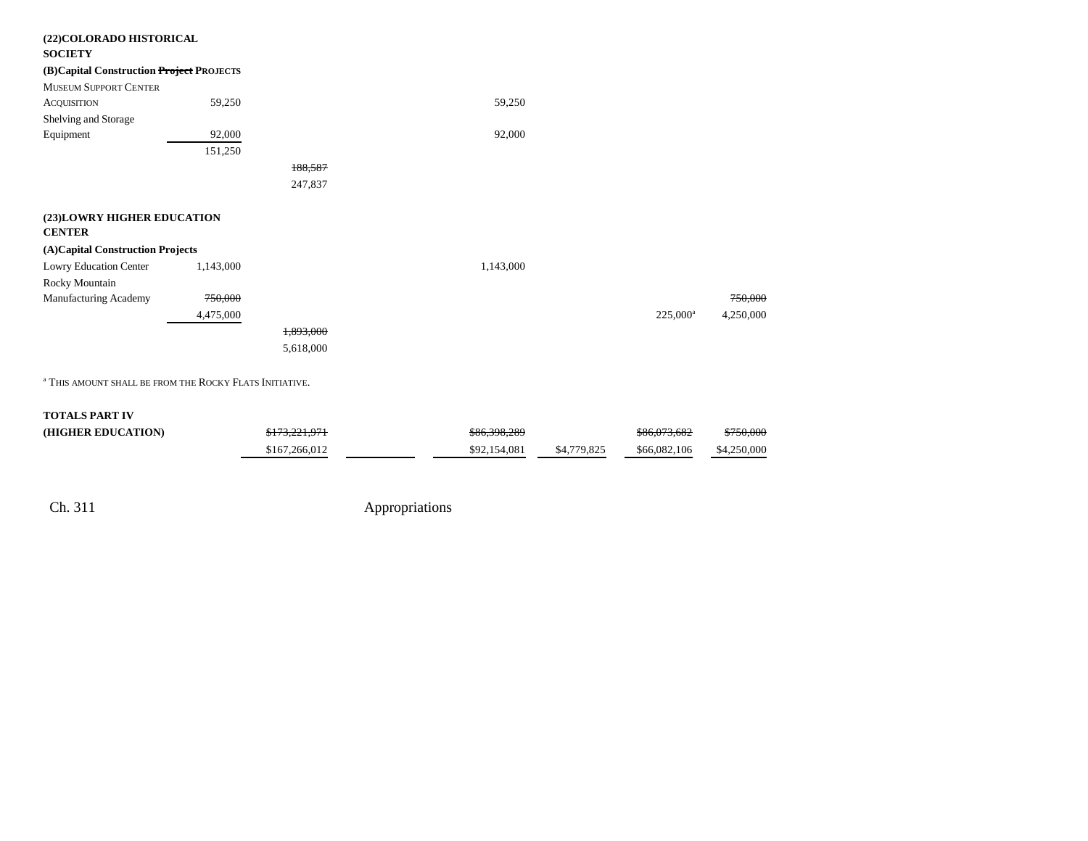| (22) COLORADO HISTORICAL                 |           |           |           |                   |           |
|------------------------------------------|-----------|-----------|-----------|-------------------|-----------|
| <b>SOCIETY</b>                           |           |           |           |                   |           |
| (B)Capital Construction Project PROJECTS |           |           |           |                   |           |
| <b>MUSEUM SUPPORT CENTER</b>             |           |           |           |                   |           |
| <b>ACQUISITION</b>                       | 59,250    |           | 59,250    |                   |           |
| Shelving and Storage                     |           |           |           |                   |           |
| Equipment                                | 92,000    |           | 92,000    |                   |           |
|                                          | 151,250   |           |           |                   |           |
|                                          |           | 188,587   |           |                   |           |
|                                          |           | 247,837   |           |                   |           |
|                                          |           |           |           |                   |           |
| (23) LOWRY HIGHER EDUCATION              |           |           |           |                   |           |
| <b>CENTER</b>                            |           |           |           |                   |           |
| (A)Capital Construction Projects         |           |           |           |                   |           |
| Lowry Education Center                   | 1,143,000 |           | 1,143,000 |                   |           |
| Rocky Mountain                           |           |           |           |                   |           |
| Manufacturing Academy                    | 750,000   |           |           |                   | 750,000   |
|                                          | 4,475,000 |           |           | $225,000^{\circ}$ | 4,250,000 |
|                                          |           | 1,893,000 |           |                   |           |
|                                          |           | 5,618,000 |           |                   |           |
|                                          |           |           |           |                   |           |

<sup>a</sup> This amount shall be from the Rocky Flats Initiative.

#### **TOTALS PART IV**

| (HIGHER EDUCATION) | 0172.331.071<br>7173, 221, 771 | \$86,398,289 |             | \$86,073,682 | <del>\$750.000</del> |
|--------------------|--------------------------------|--------------|-------------|--------------|----------------------|
|                    | \$167,266,012                  | \$92,154,081 | \$4,779,825 | \$66,082,106 | \$4,250,000          |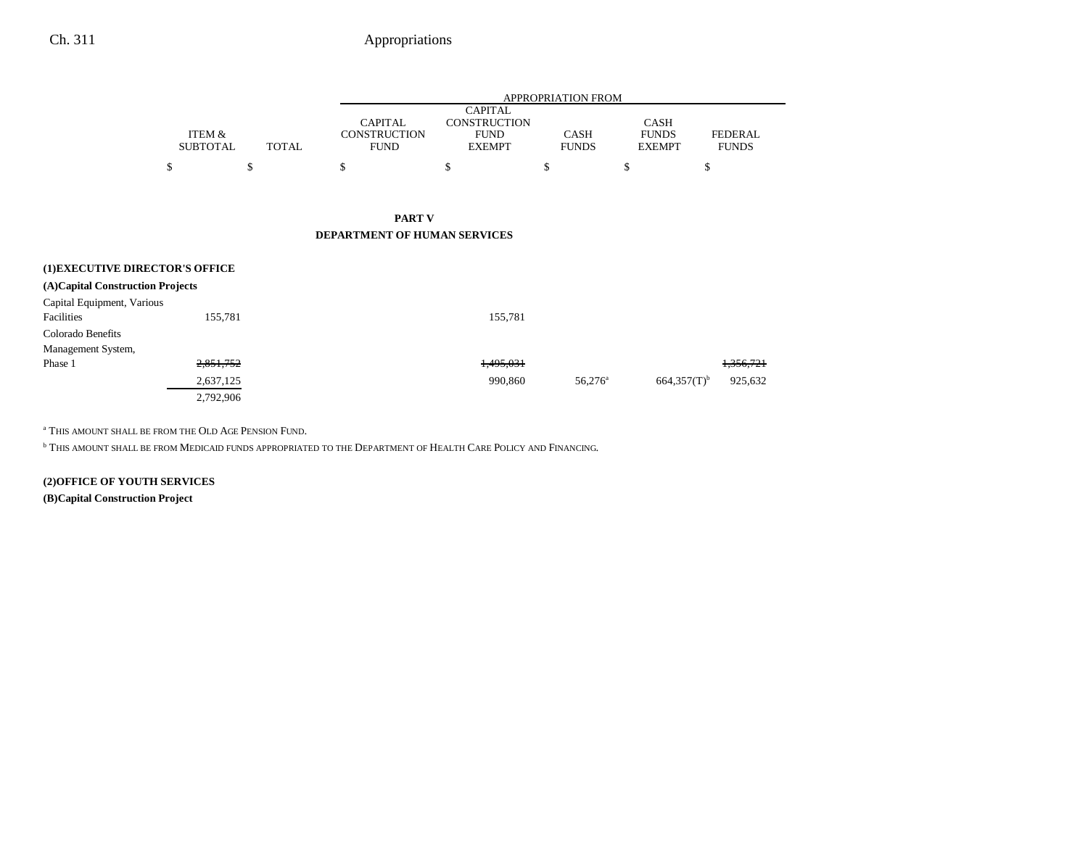# Ch. 311 Appropriations

|                                  |                           |              |                                                      |                                                                       | <b>APPROPRIATION FROM</b>   |                                              |                                |
|----------------------------------|---------------------------|--------------|------------------------------------------------------|-----------------------------------------------------------------------|-----------------------------|----------------------------------------------|--------------------------------|
|                                  | ITEM &<br><b>SUBTOTAL</b> | <b>TOTAL</b> | <b>CAPITAL</b><br><b>CONSTRUCTION</b><br><b>FUND</b> | <b>CAPITAL</b><br><b>CONSTRUCTION</b><br><b>FUND</b><br><b>EXEMPT</b> | <b>CASH</b><br><b>FUNDS</b> | <b>CASH</b><br><b>FUNDS</b><br><b>EXEMPT</b> | <b>FEDERAL</b><br><b>FUNDS</b> |
|                                  | \$                        | \$           | \$                                                   | \$                                                                    | \$                          | \$                                           | \$                             |
|                                  |                           |              |                                                      |                                                                       |                             |                                              |                                |
|                                  |                           |              | <b>PART V</b>                                        |                                                                       |                             |                                              |                                |
|                                  |                           |              | DEPARTMENT OF HUMAN SERVICES                         |                                                                       |                             |                                              |                                |
| (1) EXECUTIVE DIRECTOR'S OFFICE  |                           |              |                                                      |                                                                       |                             |                                              |                                |
| (A)Capital Construction Projects |                           |              |                                                      |                                                                       |                             |                                              |                                |
| Capital Equipment, Various       |                           |              |                                                      |                                                                       |                             |                                              |                                |
| Facilities                       | 155,781                   |              |                                                      | 155,781                                                               |                             |                                              |                                |
| Colorado Benefits                |                           |              |                                                      |                                                                       |                             |                                              |                                |
| Management System,               |                           |              |                                                      |                                                                       |                             |                                              |                                |
| Phase 1                          | 2,851,752                 |              |                                                      | 1,495,031                                                             |                             |                                              | <del>1,356,721</del>           |
|                                  | 2,637,125                 |              |                                                      | 990,860                                                               | $56,276^{\circ}$            | $664,357(T)$ <sup>b</sup>                    | 925,632                        |

a THIS AMOUNT SHALL BE FROM THE OLD AGE PENSION FUND.

2,792,906

b THIS AMOUNT SHALL BE FROM MEDICAID FUNDS APPROPRIATED TO THE DEPARTMENT OF HEALTH CARE POLICY AND FINANCING.

**(2)OFFICE OF YOUTH SERVICES**

**(B)Capital Construction Project**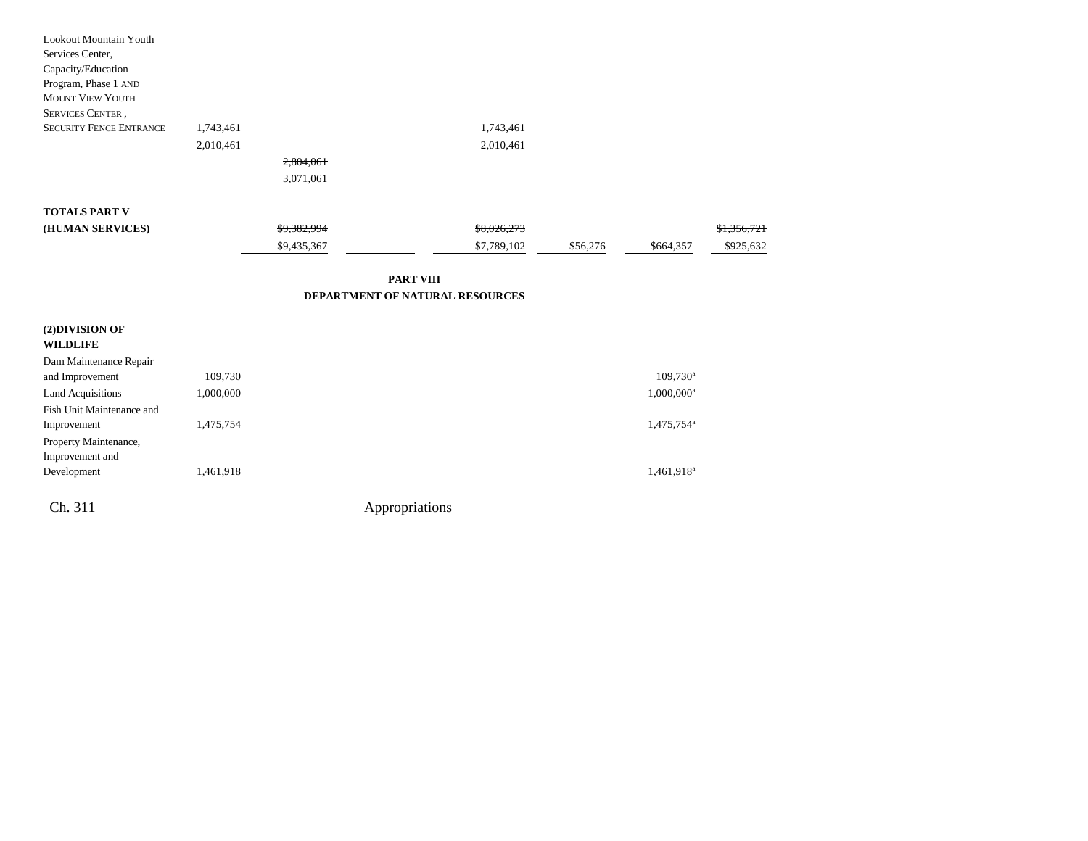| <b>Lookout Mountain Youth</b>  |           |             |             |          |           |             |
|--------------------------------|-----------|-------------|-------------|----------|-----------|-------------|
| Services Center,               |           |             |             |          |           |             |
| Capacity/Education             |           |             |             |          |           |             |
| Program, Phase 1 AND           |           |             |             |          |           |             |
| <b>MOUNT VIEW YOUTH</b>        |           |             |             |          |           |             |
| <b>SERVICES CENTER,</b>        |           |             |             |          |           |             |
| <b>SECURITY FENCE ENTRANCE</b> | 1,743,461 |             | 1,743,461   |          |           |             |
|                                | 2,010,461 |             | 2,010,461   |          |           |             |
|                                |           | 2,804,061   |             |          |           |             |
|                                |           | 3,071,061   |             |          |           |             |
|                                |           |             |             |          |           |             |
| <b>TOTALS PART V</b>           |           |             |             |          |           |             |
| (HUMAN SERVICES)               |           | \$9,382,994 | \$8,026,273 |          |           | \$1,356,721 |
|                                |           | \$9,435,367 | \$7,789,102 | \$56,276 | \$664,357 | \$925,632   |
|                                |           |             |             |          |           |             |

**PART VIII DEPARTMENT OF NATURAL RESOURCES**

| (2) DIVISION OF<br><b>WILDLIFE</b>       |           |                |                        |
|------------------------------------------|-----------|----------------|------------------------|
| Dam Maintenance Repair                   |           |                |                        |
| and Improvement                          | 109,730   |                | $109,730$ <sup>a</sup> |
| Land Acquisitions                        | 1,000,000 |                | $1,000,000^a$          |
| Fish Unit Maintenance and                |           |                |                        |
| Improvement                              | 1,475,754 |                | 1,475,754 <sup>a</sup> |
| Property Maintenance,<br>Improvement and |           |                |                        |
| Development                              | 1,461,918 |                | 1,461,918 <sup>a</sup> |
| Ch. 311                                  |           | Appropriations |                        |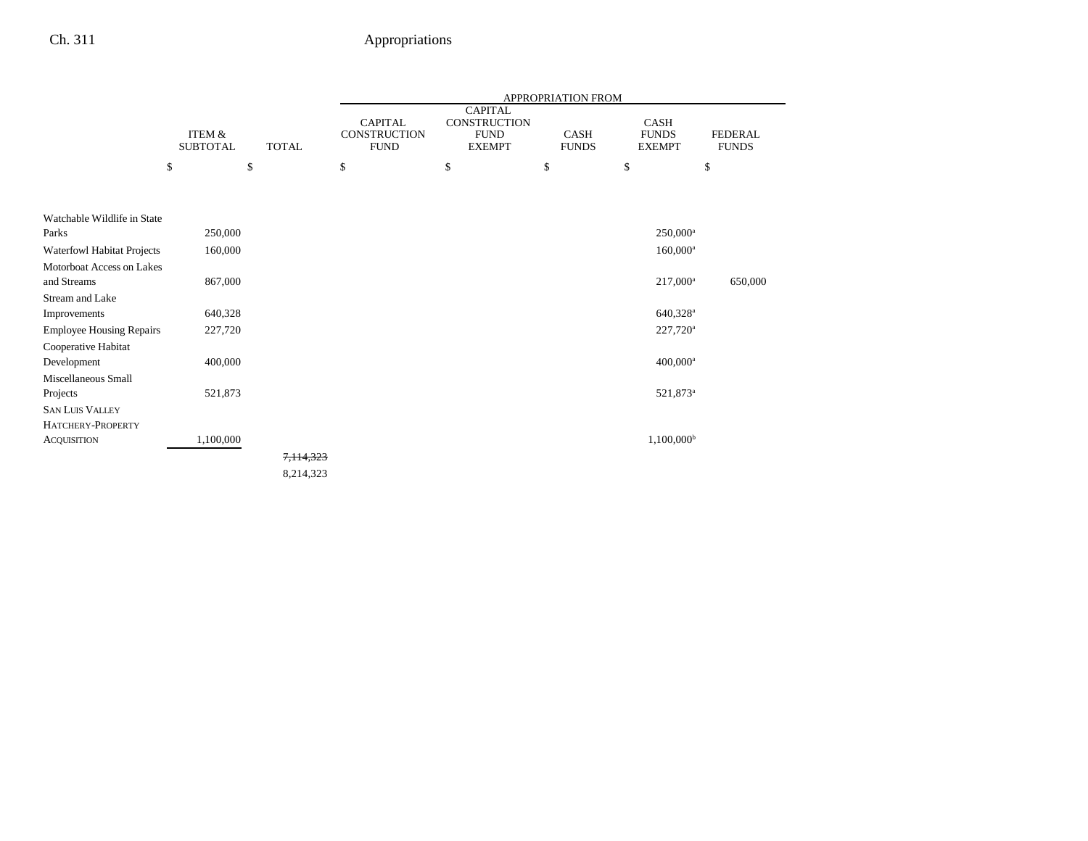|                                          |                           |              |                                               |                                                                | APPROPRIATION FROM          |                                              |                                |
|------------------------------------------|---------------------------|--------------|-----------------------------------------------|----------------------------------------------------------------|-----------------------------|----------------------------------------------|--------------------------------|
|                                          | ITEM &<br><b>SUBTOTAL</b> | <b>TOTAL</b> | <b>CAPITAL</b><br>CONSTRUCTION<br><b>FUND</b> | <b>CAPITAL</b><br>CONSTRUCTION<br><b>FUND</b><br><b>EXEMPT</b> | <b>CASH</b><br><b>FUNDS</b> | <b>CASH</b><br><b>FUNDS</b><br><b>EXEMPT</b> | <b>FEDERAL</b><br><b>FUNDS</b> |
|                                          | \$                        | \$           | \$                                            | \$                                                             | \$                          | \$                                           | \$                             |
| Watchable Wildlife in State              |                           |              |                                               |                                                                |                             |                                              |                                |
| Parks                                    | 250,000                   |              |                                               |                                                                |                             | $250,000$ <sup>a</sup>                       |                                |
| Waterfowl Habitat Projects               | 160,000                   |              |                                               |                                                                |                             | $160,000^{\rm a}$                            |                                |
| Motorboat Access on Lakes<br>and Streams | 867,000                   |              |                                               |                                                                |                             | $217,000^{\rm a}$                            | 650,000                        |
| Stream and Lake                          |                           |              |                                               |                                                                |                             |                                              |                                |
| Improvements                             | 640,328                   |              |                                               |                                                                |                             | 640,328 <sup>a</sup>                         |                                |
| <b>Employee Housing Repairs</b>          | 227,720                   |              |                                               |                                                                |                             | $227,720^{\rm a}$                            |                                |
| Cooperative Habitat                      |                           |              |                                               |                                                                |                             |                                              |                                |
| Development                              | 400,000                   |              |                                               |                                                                |                             | $400,000$ <sup>a</sup>                       |                                |
| Miscellaneous Small                      |                           |              |                                               |                                                                |                             |                                              |                                |
| Projects                                 | 521,873                   |              |                                               |                                                                |                             | 521,873 <sup>a</sup>                         |                                |
| <b>SAN LUIS VALLEY</b>                   |                           |              |                                               |                                                                |                             |                                              |                                |
| HATCHERY-PROPERTY                        |                           |              |                                               |                                                                |                             |                                              |                                |
| <b>ACQUISITION</b>                       | 1,100,000                 |              |                                               |                                                                |                             | $1,100,000^{\rm b}$                          |                                |
|                                          |                           | 7,114,323    |                                               |                                                                |                             |                                              |                                |
|                                          |                           | 8,214,323    |                                               |                                                                |                             |                                              |                                |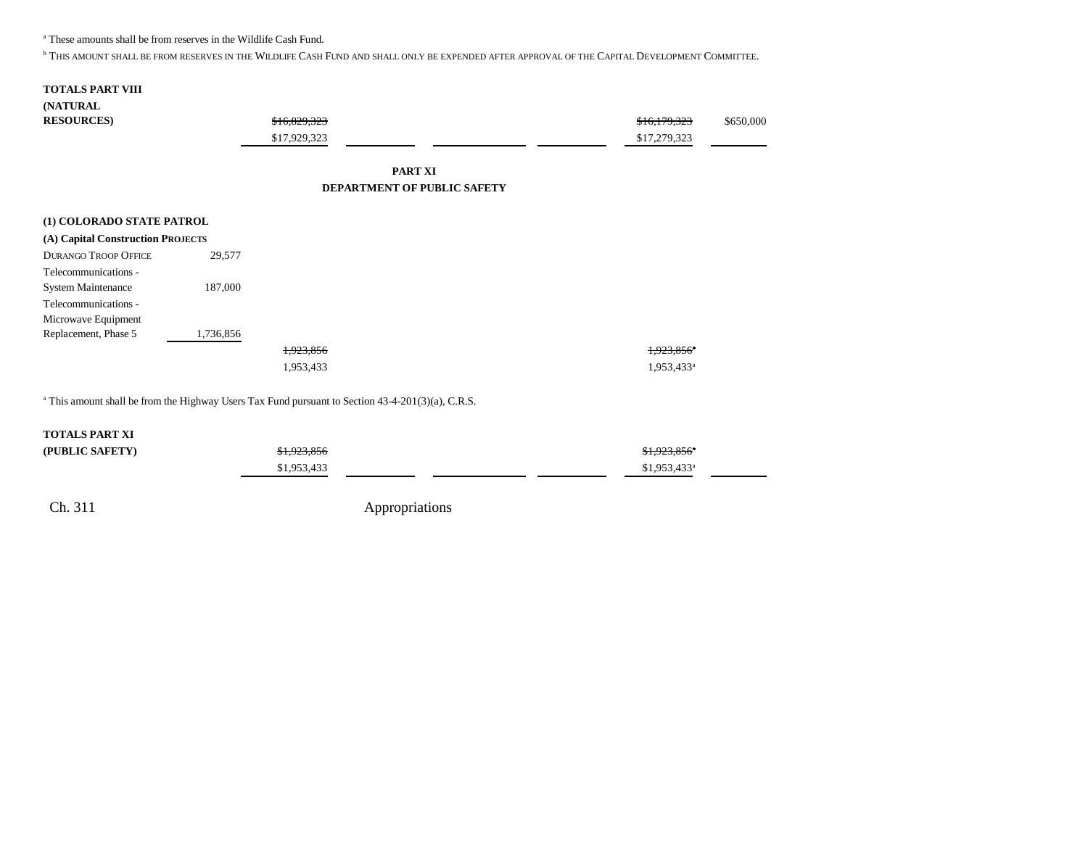a These amounts shall be from reserves in the Wildlife Cash Fund.

<sup>b</sup> This amount shall be from reserves in the Wildlife Cash Fund and shall only be expended after approval of the Capital Development Committee.

#### **TOTALS PART VIII (NATURAL**

 $RESOURCES)$ 

| \$16,829,323 | \$16,179,323 | \$650,000 |
|--------------|--------------|-----------|
| \$17,929,323 | \$17,279,323 |           |

#### **PART XI DEPARTMENT OF PUBLIC SAFETY**

| (1) COLORADO STATE PATROL         |           |           |
|-----------------------------------|-----------|-----------|
| (A) Capital Construction PROJECTS |           |           |
| <b>DURANGO TROOP OFFICE</b>       | 29,577    |           |
| Telecommunications -              |           |           |
| <b>System Maintenance</b>         | 187,000   |           |
| Telecommunications -              |           |           |
| Microwave Equipment               |           |           |
| Replacement, Phase 5              | 1,736,856 |           |
|                                   |           | 1,923,856 |
|                                   |           | 1,953,433 |

<sup>a</sup> This amount shall be from the Highway Users Tax Fund pursuant to Section 43-4-201(3)(a), C.R.S.

#### **TOTALS PART XI**

| (PUBLIC SAFETY) | \$1,923,856 | <del>11,923,856</del> * |
|-----------------|-------------|-------------------------|
|                 | 953433      | $$1,953,433^a$          |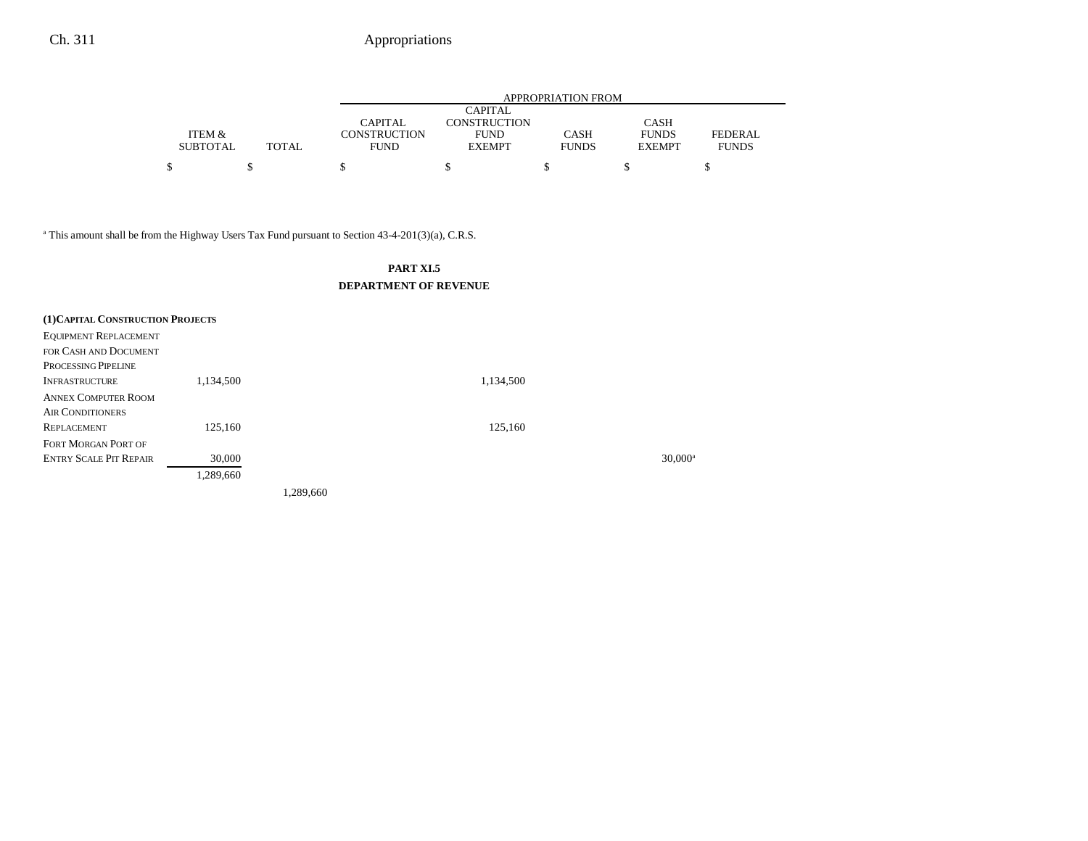|                   |       |              |                     | APPROPRIATION FROM |               |              |
|-------------------|-------|--------------|---------------------|--------------------|---------------|--------------|
|                   |       |              | CAPITAL             |                    |               |              |
|                   |       | CAPITAL      | <b>CONSTRUCTION</b> |                    | <b>CASH</b>   |              |
| <b>ITEM &amp;</b> |       | CONSTRUCTION | <b>FUND</b>         | CASH               | <b>FUNDS</b>  | FEDERAL      |
| <b>SUBTOTAL</b>   | TOTAL | <b>FUND</b>  | <b>EXEMPT</b>       | <b>FUNDS</b>       | <b>EXEMPT</b> | <b>FUNDS</b> |
|                   |       |              |                     |                    |               |              |

<sup>a</sup> This amount shall be from the Highway Users Tax Fund pursuant to Section 43-4-201(3)(a), C.R.S.

#### **PART XI.5 DEPARTMENT OF REVENUE**

| (1) CAPITAL CONSTRUCTION PROJECTS |           |           |           |                  |
|-----------------------------------|-----------|-----------|-----------|------------------|
| <b>EQUIPMENT REPLACEMENT</b>      |           |           |           |                  |
| FOR CASH AND DOCUMENT             |           |           |           |                  |
| PROCESSING PIPELINE               |           |           |           |                  |
| <b>INFRASTRUCTURE</b>             | 1,134,500 |           | 1,134,500 |                  |
| <b>ANNEX COMPUTER ROOM</b>        |           |           |           |                  |
| <b>AIR CONDITIONERS</b>           |           |           |           |                  |
| <b>REPLACEMENT</b>                | 125,160   |           | 125,160   |                  |
| FORT MORGAN PORT OF               |           |           |           |                  |
| <b>ENTRY SCALE PIT REPAIR</b>     | 30,000    |           |           | $30,000^{\circ}$ |
|                                   | 1,289,660 |           |           |                  |
|                                   |           | 1,289,660 |           |                  |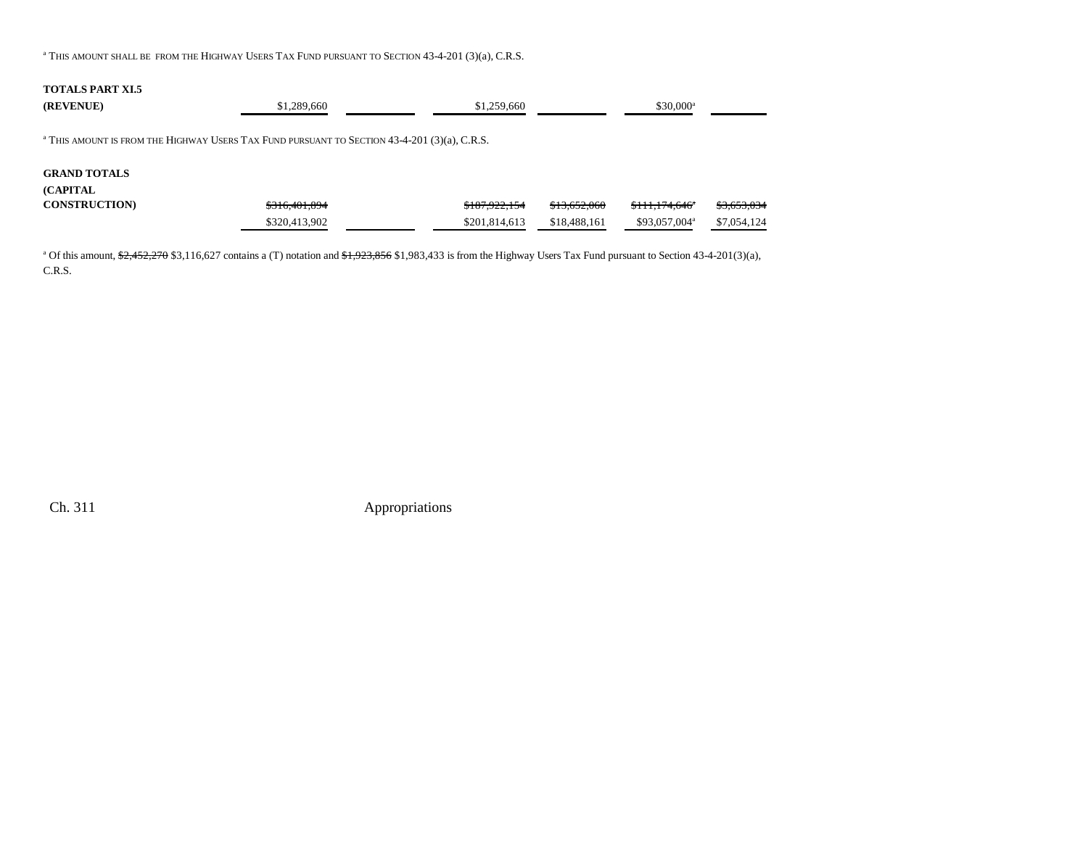$^\mathrm{a}\,$ This amount shall be from the Highway Users Tax Fund pursuant to Section 43-4-201 (3)(a), C.R.S.

#### **TOTALS PART XI.5**

| (REVENUE)            | \$1,289,660                                                                                               | \$1,259,660   |              | $$30.000^a$               |             |
|----------------------|-----------------------------------------------------------------------------------------------------------|---------------|--------------|---------------------------|-------------|
|                      | <sup>a</sup> THIS AMOUNT IS FROM THE HIGHWAY USERS TAX FUND PURSUANT TO SECTION $43-4-201$ (3)(a), C.R.S. |               |              |                           |             |
| <b>GRAND TOTALS</b>  |                                                                                                           |               |              |                           |             |
| <b>(CAPITAL)</b>     |                                                                                                           |               |              |                           |             |
| <b>CONSTRUCTION)</b> | \$316,401,894                                                                                             | \$187,922,154 | \$13,652,060 | \$111.174.646"            | \$3,653,034 |
|                      | \$320,413,902                                                                                             | \$201.814.613 | \$18,488,161 | \$93,057,004 <sup>a</sup> | \$7,054,124 |

<sup>a</sup> Of this amount,  $\frac{42,452,270,83,116,627}{2,0}$  contains a (T) notation and  $\frac{41,923,856,81,983,433}{1}$  is from the Highway Users Tax Fund pursuant to Section 43-4-201(3)(a), C.R.S.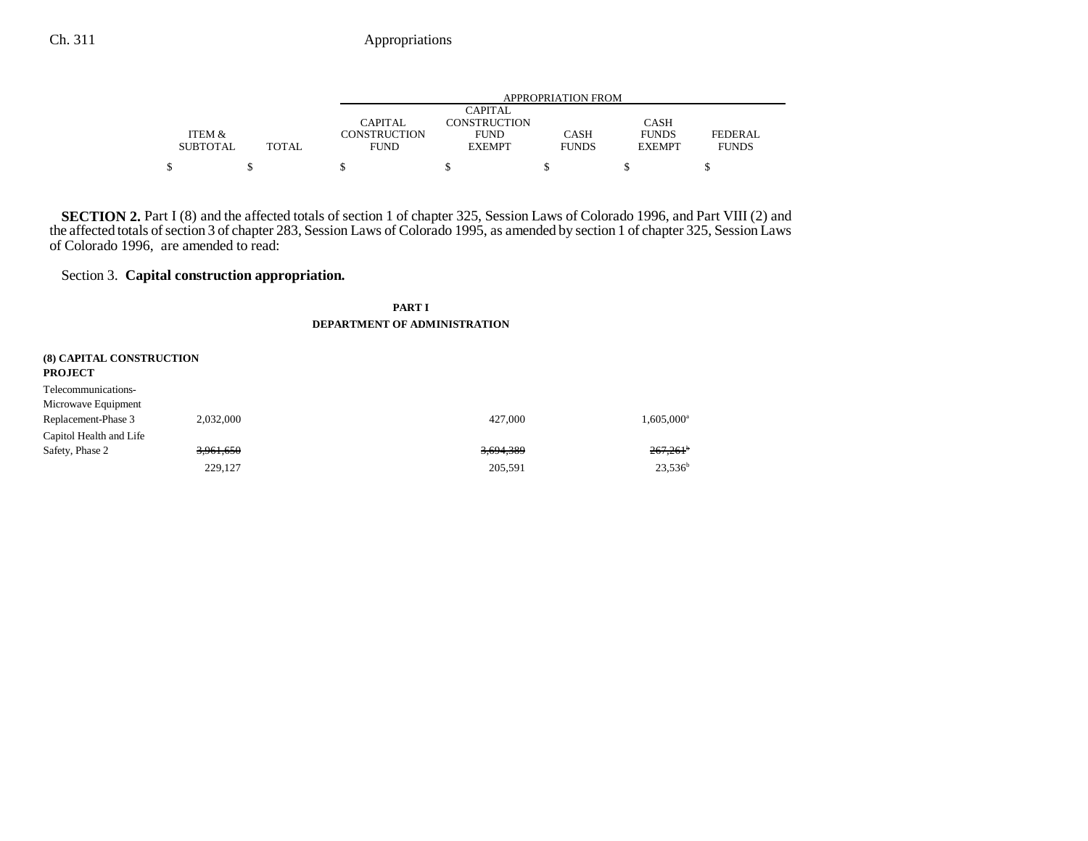|                 |              |              |               | APPROPRIATION FROM |               |              |
|-----------------|--------------|--------------|---------------|--------------------|---------------|--------------|
|                 |              |              | CAPITAL       |                    |               |              |
|                 |              | CAPITAL      | CONSTRUCTION  |                    | <b>CASH</b>   |              |
| ITEM &          |              | CONSTRUCTION | <b>FUND</b>   | CASH               | <b>FUNDS</b>  | FEDERAL      |
| <b>SUBTOTAL</b> | <b>TOTAL</b> | <b>FUND</b>  | <b>EXEMPT</b> | <b>FUNDS</b>       | <b>EXEMPT</b> | <b>FUNDS</b> |
| S               |              |              |               |                    |               |              |

**SECTION 2.** Part I (8) and the affected totals of section 1 of chapter 325, Session Laws of Colorado 1996, and Part VIII (2) and the affected totals of section 3 of chapter 283, Session Laws of Colorado 1995, as amended by section 1 of chapter 325, Session Laws of Colorado 1996, are amended to read:

### Section 3. **Capital construction appropriation.**

#### **PART I**

#### **DEPARTMENT OF ADMINISTRATION**

| <b>(8) CAPITAL CONSTRUCTION</b><br><b>PROJECT</b> |           |           |                        |
|---------------------------------------------------|-----------|-----------|------------------------|
| Telecommunications-                               |           |           |                        |
| Microwave Equipment                               |           |           |                        |
| Replacement-Phase 3                               | 2.032.000 | 427,000   | 1,605,000 <sup>a</sup> |
| Capitol Health and Life                           |           |           |                        |
| Safety, Phase 2                                   | 3,961,650 | 3,694,389 | $267,261^{\circ}$      |
|                                                   | 229,127   | 205,591   | $23,536^b$             |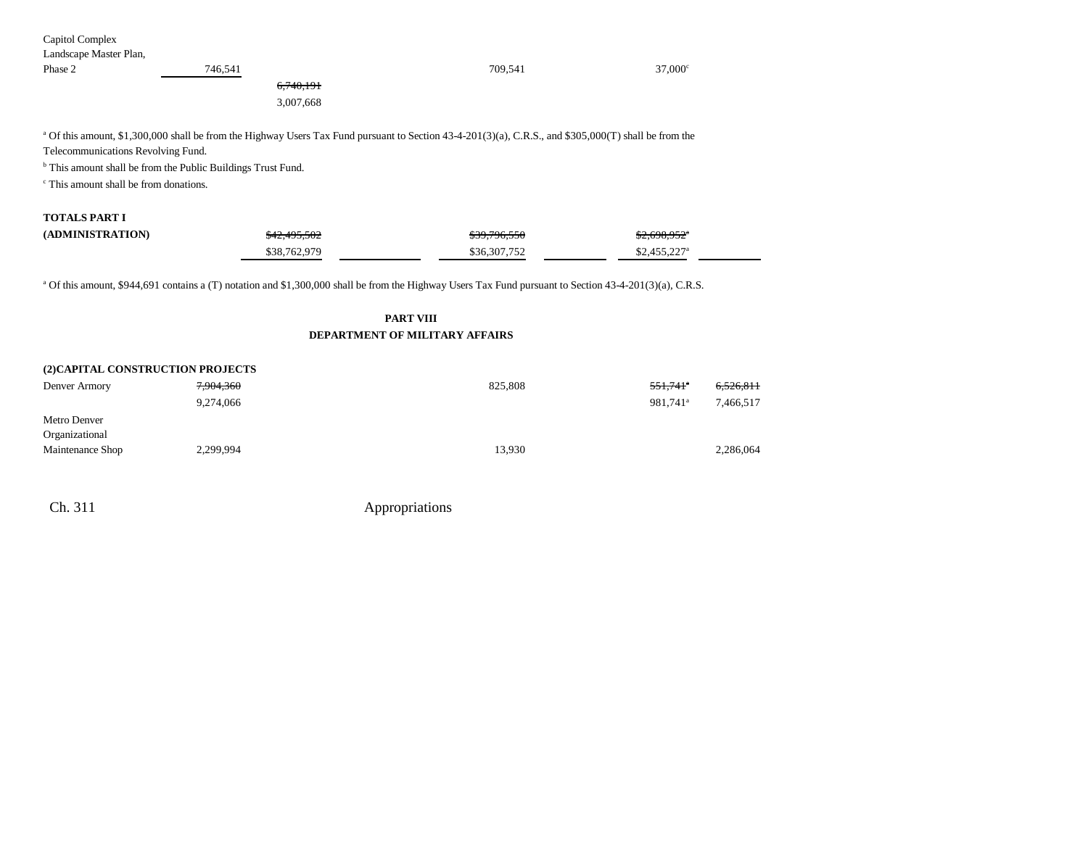| Capitol Complex                                   |                                                                                                                                                                    |                                       |                           |           |
|---------------------------------------------------|--------------------------------------------------------------------------------------------------------------------------------------------------------------------|---------------------------------------|---------------------------|-----------|
| Landscape Master Plan,                            |                                                                                                                                                                    |                                       |                           |           |
| Phase 2                                           | 746,541                                                                                                                                                            | 709,541                               | $37,000$ c                |           |
|                                                   | 6,740,191                                                                                                                                                          |                                       |                           |           |
|                                                   | 3,007,668                                                                                                                                                          |                                       |                           |           |
| Telecommunications Revolving Fund.                | <sup>a</sup> Of this amount, \$1,300,000 shall be from the Highway Users Tax Fund pursuant to Section 43-4-201(3)(a), C.R.S., and \$305,000(T) shall be from the   |                                       |                           |           |
|                                                   | <sup>b</sup> This amount shall be from the Public Buildings Trust Fund.                                                                                            |                                       |                           |           |
| <sup>c</sup> This amount shall be from donations. |                                                                                                                                                                    |                                       |                           |           |
| <b>TOTALS PART I</b>                              |                                                                                                                                                                    |                                       |                           |           |
| (ADMINISTRATION)                                  | \$42,495,502                                                                                                                                                       | \$39,796,550                          | $$2,698,952$ <sup>*</sup> |           |
|                                                   | \$38,762,979                                                                                                                                                       | \$36,307,752                          | $$2,455,227$ <sup>a</sup> |           |
|                                                   | <sup>a</sup> Of this amount, \$944,691 contains a (T) notation and \$1,300,000 shall be from the Highway Users Tax Fund pursuant to Section 43-4-201(3)(a), C.R.S. |                                       |                           |           |
|                                                   |                                                                                                                                                                    | <b>PART VIII</b>                      |                           |           |
|                                                   |                                                                                                                                                                    | <b>DEPARTMENT OF MILITARY AFFAIRS</b> |                           |           |
| (2) CAPITAL CONSTRUCTION PROJECTS                 |                                                                                                                                                                    |                                       |                           |           |
| Denver Armory                                     | 7,904,360                                                                                                                                                          | 825,808                               | $551,741$ <sup>a</sup>    | 6,526,811 |
|                                                   | 9,274,066                                                                                                                                                          |                                       | 981,741 <sup>a</sup>      | 7,466,517 |
| Metro Denver                                      |                                                                                                                                                                    |                                       |                           |           |
| Organizational                                    |                                                                                                                                                                    |                                       |                           |           |

Maintenance Shop 2,299,994 2,299,994 13,930 2,286,064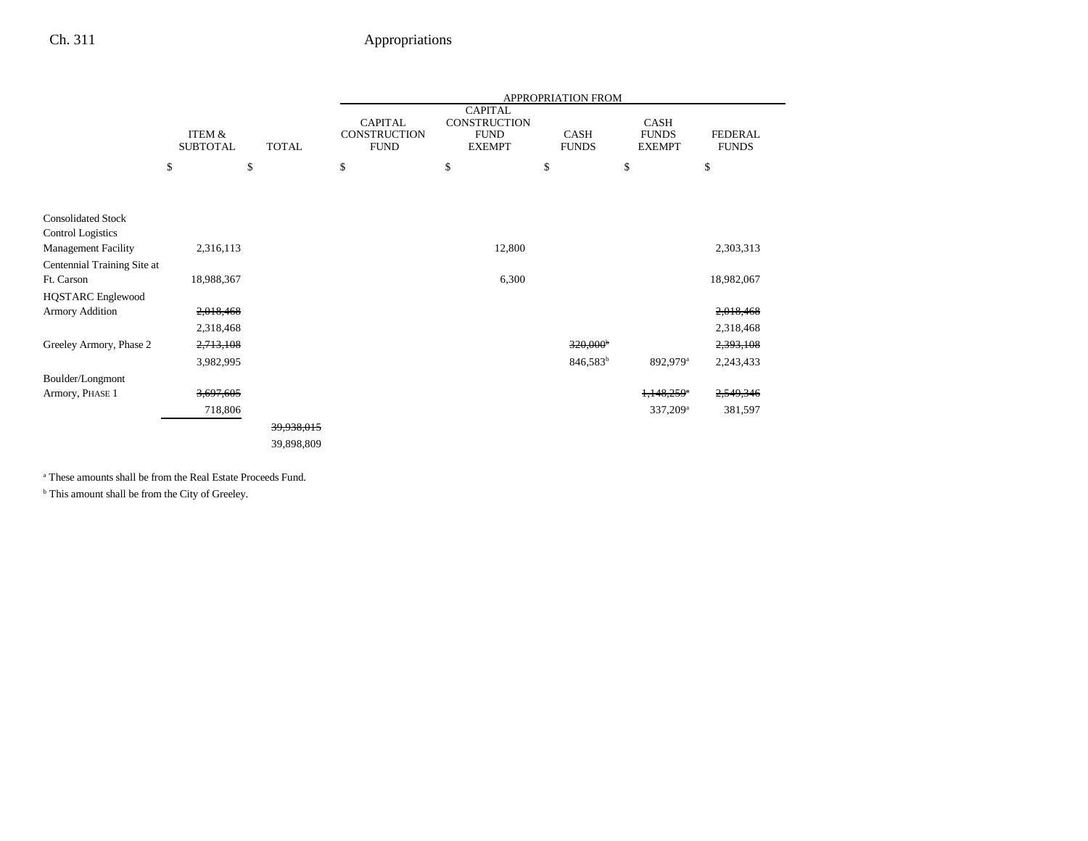|                                                       | APPROPRIATION FROM        |    |              |                                                      |                                                                       |        |                             |                                       |                                |
|-------------------------------------------------------|---------------------------|----|--------------|------------------------------------------------------|-----------------------------------------------------------------------|--------|-----------------------------|---------------------------------------|--------------------------------|
|                                                       | ITEM &<br><b>SUBTOTAL</b> |    | <b>TOTAL</b> | <b>CAPITAL</b><br><b>CONSTRUCTION</b><br><b>FUND</b> | <b>CAPITAL</b><br><b>CONSTRUCTION</b><br><b>FUND</b><br><b>EXEMPT</b> |        | <b>CASH</b><br><b>FUNDS</b> | CASH<br><b>FUNDS</b><br><b>EXEMPT</b> | <b>FEDERAL</b><br><b>FUNDS</b> |
|                                                       | \$                        | \$ |              | \$                                                   | \$                                                                    |        | \$                          | \$                                    | \$                             |
|                                                       |                           |    |              |                                                      |                                                                       |        |                             |                                       |                                |
| <b>Consolidated Stock</b><br><b>Control Logistics</b> |                           |    |              |                                                      |                                                                       |        |                             |                                       |                                |
| <b>Management Facility</b>                            | 2,316,113                 |    |              |                                                      |                                                                       | 12,800 |                             |                                       | 2,303,313                      |
| Centennial Training Site at                           |                           |    |              |                                                      |                                                                       |        |                             |                                       |                                |
| Ft. Carson                                            | 18,988,367                |    |              |                                                      |                                                                       | 6,300  |                             |                                       | 18,982,067                     |
| <b>HQSTARC</b> Englewood                              |                           |    |              |                                                      |                                                                       |        |                             |                                       |                                |
| <b>Armory Addition</b>                                | 2,018,468                 |    |              |                                                      |                                                                       |        |                             |                                       | 2,018,468                      |
|                                                       | 2,318,468                 |    |              |                                                      |                                                                       |        |                             |                                       | 2,318,468                      |
| Greeley Armory, Phase 2                               | 2,713,108                 |    |              |                                                      |                                                                       |        | 320,000 <sup>b</sup>        |                                       | 2,393,108                      |
|                                                       | 3,982,995                 |    |              |                                                      |                                                                       |        | 846,583 <sup>b</sup>        | 892,979 <sup>a</sup>                  | 2,243,433                      |
| Boulder/Longmont                                      |                           |    |              |                                                      |                                                                       |        |                             |                                       |                                |
| Armory, PHASE 1                                       | 3,697,605                 |    |              |                                                      |                                                                       |        |                             | $1,148,259$ <sup>a</sup>              | 2,549,346                      |
|                                                       | 718,806                   |    |              |                                                      |                                                                       |        |                             | 337,209 <sup>a</sup>                  | 381,597                        |
|                                                       |                           |    | 39,938,015   |                                                      |                                                                       |        |                             |                                       |                                |
|                                                       |                           |    | 39,898,809   |                                                      |                                                                       |        |                             |                                       |                                |
|                                                       |                           |    |              |                                                      |                                                                       |        |                             |                                       |                                |

a These amounts shall be from the Real Estate Proceeds Fund.

 $^{\rm b}$  This amount shall be from the City of Greeley.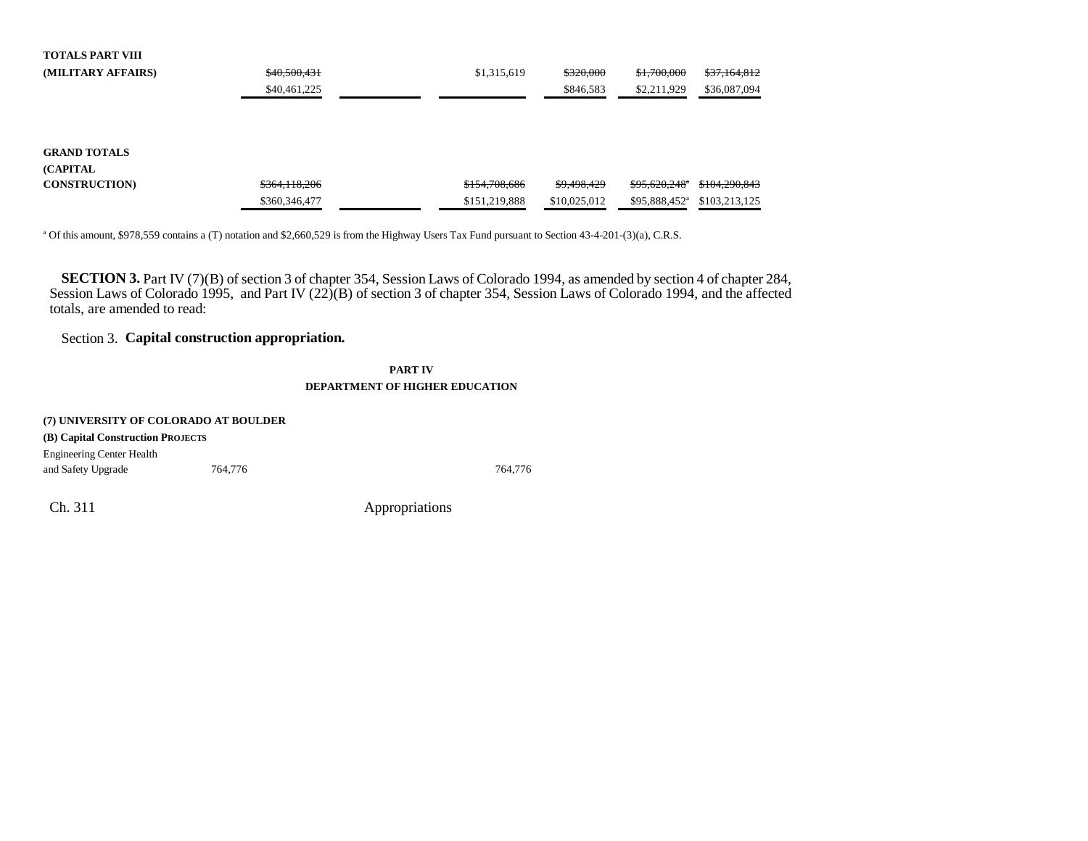| <b>TOTALS PART VIII</b> |               |               |              |                           |               |
|-------------------------|---------------|---------------|--------------|---------------------------|---------------|
| (MILITARY AFFAIRS)      | \$40,500,431  | \$1,315,619   | \$320,000    | \$1,700,000               | \$37,164,812  |
|                         | \$40,461,225  |               | \$846,583    | \$2,211,929               | \$36,087,094  |
|                         |               |               |              |                           |               |
|                         |               |               |              |                           |               |
|                         |               |               |              |                           |               |
| <b>GRAND TOTALS</b>     |               |               |              |                           |               |
| <b>(CAPITAL)</b>        |               |               |              |                           |               |
| <b>CONSTRUCTION</b>     | \$364,118,206 | \$154,708,686 | \$9,498,429  | \$95,620,248"             | \$104,290,843 |
|                         | \$360,346,477 | \$151,219,888 | \$10,025,012 | \$95,888,452 <sup>a</sup> | \$103,213,125 |
|                         |               |               |              |                           |               |

a Of this amount, \$978,559 contains a (T) notation and \$2,660,529 is from the Highway Users Tax Fund pursuant to Section 43-4-201-(3)(a), C.R.S.

**SECTION 3.** Part IV (7)(B) of section 3 of chapter 354, Session Laws of Colorado 1994, as amended by section 4 of chapter 284, Session Laws of Colorado 1995, and Part IV (22)(B) of section 3 of chapter 354, Session Laws of Colorado 1994, and the affecte d totals, are amended to read:

### Section 3. **Capital construction appropriation.**

**PART IVDEPARTMENT OF HIGHER EDUCATION**

| (7) UNIVERSITY OF COLORADO AT BOULDER |         |         |  |  |  |  |
|---------------------------------------|---------|---------|--|--|--|--|
| (B) Capital Construction PROJECTS     |         |         |  |  |  |  |
| <b>Engineering Center Health</b>      |         |         |  |  |  |  |
| and Safety Upgrade                    | 764.776 | 764,776 |  |  |  |  |
|                                       |         |         |  |  |  |  |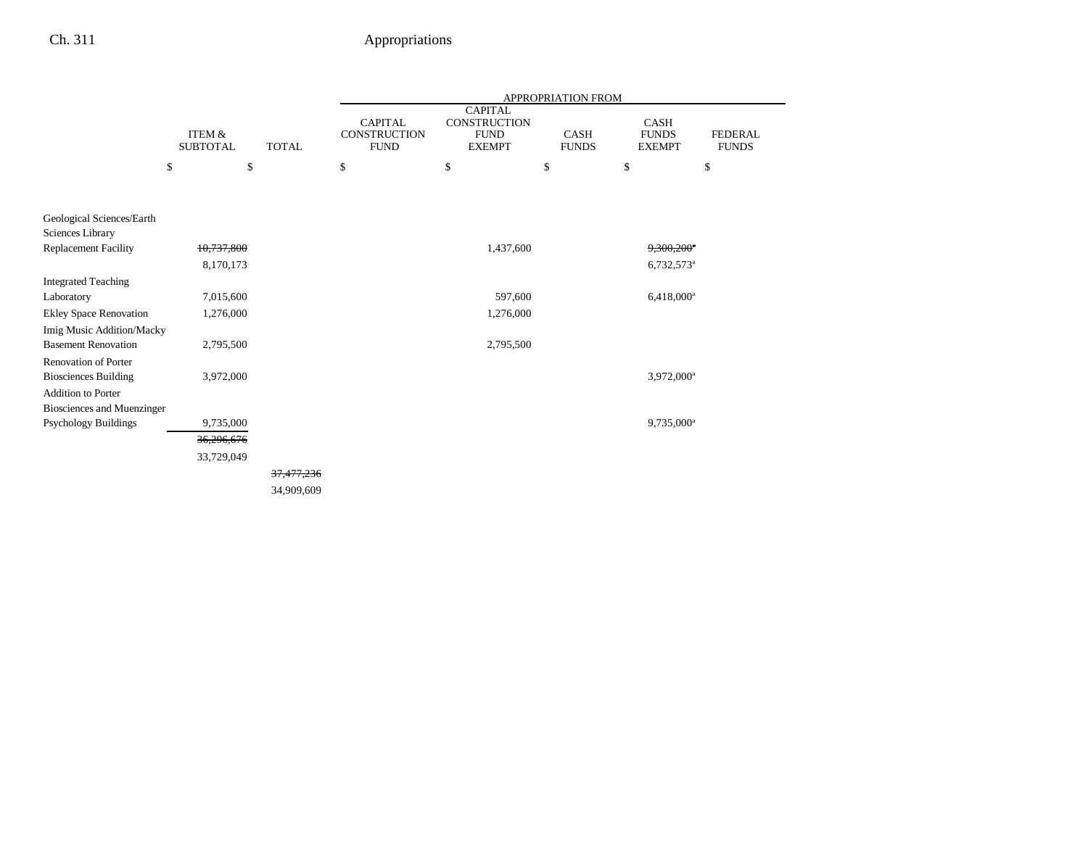|                                   |                           |              | APPROPRIATION FROM                            |                                                                |                             |                                              |                                |
|-----------------------------------|---------------------------|--------------|-----------------------------------------------|----------------------------------------------------------------|-----------------------------|----------------------------------------------|--------------------------------|
|                                   | ITEM &<br><b>SUBTOTAL</b> | <b>TOTAL</b> | <b>CAPITAL</b><br>CONSTRUCTION<br><b>FUND</b> | <b>CAPITAL</b><br>CONSTRUCTION<br><b>FUND</b><br><b>EXEMPT</b> | <b>CASH</b><br><b>FUNDS</b> | <b>CASH</b><br><b>FUNDS</b><br><b>EXEMPT</b> | <b>FEDERAL</b><br><b>FUNDS</b> |
|                                   | \$<br>\$                  |              | \$                                            | \$                                                             | \$                          | \$                                           | \$                             |
| Geological Sciences/Earth         |                           |              |                                               |                                                                |                             |                                              |                                |
| Sciences Library                  |                           |              |                                               |                                                                |                             |                                              |                                |
| <b>Replacement Facility</b>       | 10,737,800                |              |                                               | 1,437,600                                                      |                             | $9,300,200$ <sup>a</sup>                     |                                |
|                                   | 8,170,173                 |              |                                               |                                                                |                             | $6,732,573$ <sup>a</sup>                     |                                |
| <b>Integrated Teaching</b>        |                           |              |                                               |                                                                |                             |                                              |                                |
| Laboratory                        | 7,015,600                 |              |                                               | 597,600                                                        |                             | 6,418,000 <sup>a</sup>                       |                                |
| <b>Ekley Space Renovation</b>     | 1,276,000                 |              |                                               | 1,276,000                                                      |                             |                                              |                                |
| Imig Music Addition/Macky         |                           |              |                                               |                                                                |                             |                                              |                                |
| <b>Basement Renovation</b>        | 2,795,500                 |              |                                               | 2,795,500                                                      |                             |                                              |                                |
| <b>Renovation of Porter</b>       |                           |              |                                               |                                                                |                             |                                              |                                |
| <b>Biosciences Building</b>       | 3,972,000                 |              |                                               |                                                                |                             | 3,972,000 <sup>a</sup>                       |                                |
| <b>Addition to Porter</b>         |                           |              |                                               |                                                                |                             |                                              |                                |
| <b>Biosciences and Muenzinger</b> |                           |              |                                               |                                                                |                             |                                              |                                |
| <b>Psychology Buildings</b>       | 9,735,000                 |              |                                               |                                                                |                             | 9,735,000 <sup>a</sup>                       |                                |
|                                   | 36,296,676                |              |                                               |                                                                |                             |                                              |                                |
|                                   | 33,729,049                |              |                                               |                                                                |                             |                                              |                                |
|                                   |                           | 37,477,236   |                                               |                                                                |                             |                                              |                                |
|                                   |                           | 34,909,609   |                                               |                                                                |                             |                                              |                                |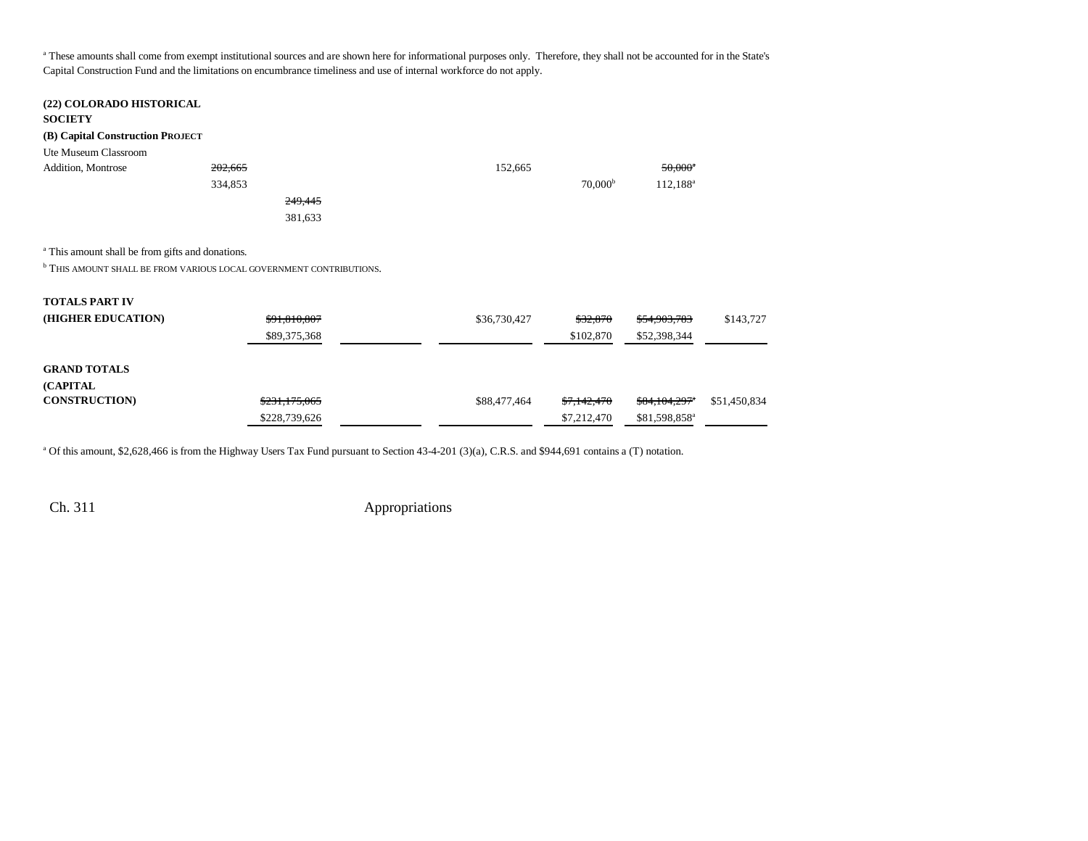a These amounts shall come from exempt institutional sources and are shown here for informational purposes only. Therefore, they shall not be accounted for in the State's Capital Construction Fund and the limitations on encumbrance timeliness and use of internal workforce do not apply.

| (22) COLORADO HISTORICAL<br><b>SOCIETY</b>                  |                                                                            |              |                     |                           |              |
|-------------------------------------------------------------|----------------------------------------------------------------------------|--------------|---------------------|---------------------------|--------------|
| (B) Capital Construction PROJECT                            |                                                                            |              |                     |                           |              |
| Ute Museum Classroom                                        |                                                                            |              |                     |                           |              |
| Addition, Montrose                                          | 202,665                                                                    | 152,665      |                     | $50,000^a$                |              |
|                                                             | 334,853                                                                    |              | 70,000 <sup>b</sup> | $112,188^a$               |              |
|                                                             | 249,445                                                                    |              |                     |                           |              |
|                                                             | 381,633                                                                    |              |                     |                           |              |
| <sup>a</sup> This amount shall be from gifts and donations. |                                                                            |              |                     |                           |              |
|                                                             | <b>b</b> THIS AMOUNT SHALL BE FROM VARIOUS LOCAL GOVERNMENT CONTRIBUTIONS. |              |                     |                           |              |
| <b>TOTALS PART IV</b>                                       |                                                                            |              |                     |                           |              |
| (HIGHER EDUCATION)                                          | \$91,810,807                                                               | \$36,730,427 | \$32,870            | \$54,903,783              | \$143,727    |
|                                                             | \$89,375,368                                                               |              | \$102,870           | \$52,398,344              |              |
| <b>GRAND TOTALS</b>                                         |                                                                            |              |                     |                           |              |
| (CAPITAL                                                    |                                                                            |              |                     |                           |              |
| <b>CONSTRUCTION)</b>                                        | \$231,175,065                                                              | \$88,477,464 | \$7,142,470         | \$84,104,297 <sup>*</sup> | \$51,450,834 |
|                                                             | \$228,739,626                                                              |              | \$7,212,470         | \$81,598,858 <sup>a</sup> |              |

a Of this amount, \$2,628,466 is from the Highway Users Tax Fund pursuant to Section 43-4-201 (3)(a), C.R.S. and \$944,691 contains a (T) notation.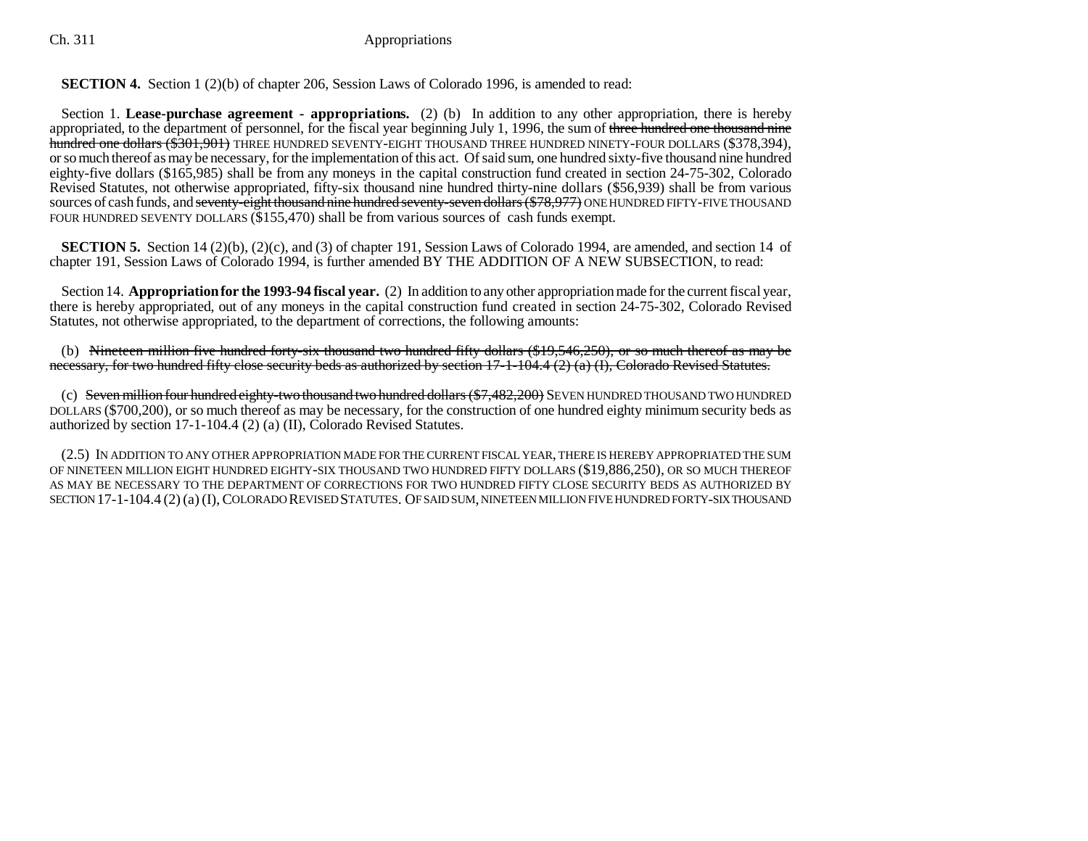### **SECTION 4.** Section 1 (2)(b) of chapter 206, Session Laws of Colorado 1996, is amended to read:

Section 1. **Lease-purchase agreement - appropriations.** (2) (b) In addition to any other appropriation, there is hereby appropriated, to the department of personnel, for the fiscal year beginning July 1, 1996, the sum of three hundred one thousand nine hundred one dollars (\$301,901) THREE HUNDRED SEVENTY-EIGHT THOUSAND THREE HUNDRED NINETY-FOUR DOLLARS (\$378,394), or so much thereof as may be necessary, for the implementation of this act. Of said sum, one hundred sixty-five thousand nine hundred eighty-five dollars (\$165,985) shall be from any moneys in the capital construction fund created in section 24-75-302, Colorado Revised Statutes, not otherwise appropriated, fifty-six thousand nine hundred thirty-nine dollars (\$56,939) shall be from various sources of cash funds, and <del>seventy-eight thousand nine hundred seventy-seven dollars (\$78,977)</del> ONE HUNDRED FIFTY-FIVE THOUSAND FOUR HUNDRED SEVENTY DOLLARS (\$155,470) shall be from various sources of cash funds exempt.

**SECTION 5.** Section 14 (2)(b), (2)(c), and (3) of chapter 191, Session Laws of Colorado 1994, are amended, and section 14 of chapter 191, Session Laws of Colorado 1994, is further amended BY THE ADDITION OF A NEW SUBSECTION, to read:

Section 14. **Appropriation for the 1993-94 fiscal year.** (2) In addition to any other appropriation made for the current fiscal year, there is hereby appropriated, out of any moneys in the capital construction fund created in section 24-75-302, Colorado Revised Statutes, not otherwise appropriated, to the department of corrections, the following amounts:

(b) Nineteen million five hundred forty-six thousand two hundred fifty dollars (\$19,546,250), or so much thereof as may be necessary, for two hundred fifty close security beds as authorized by section  $17-1-104.4$  (2) (a) (I), Colorado Revised Statutes.

(c) Seven million four hundred eighty-two thousand two hundred dollars (\$7,482,200) SEVEN HUNDRED THOUSAND TWO HUNDRED DOLLARS (\$700,200), or so much thereof as may be necessary, for the construction of one hundred eighty minimum security beds as authorized by section 17-1-104.4 (2) (a) (II), Colorado Revised Statutes.

(2.5) IN ADDITION TO ANY OTHER APPROPRIATION MADE FOR THE CURRENT FISCAL YEAR, THERE IS HEREBY APPROPRIATED THE SUM OF NINETEEN MILLION EIGHT HUNDRED EIGHTY-SIX THOUSAND TWO HUNDRED FIFTY DOLLARS (\$19,886,250), OR SO MUCH THEREOF AS MAY BE NECESSARY TO THE DEPARTMENT OF CORRECTIONS FOR TWO HUNDRED FIFTY CLOSE SECURITY BEDS AS AUTHORIZED BY SECTION 17-1-104.4 (2) (a) (I), COLORADO REVISED STATUTES. OF SAID SUM, NINETEEN MILLION FIVE HUNDRED FORTY-SIX THOUSAND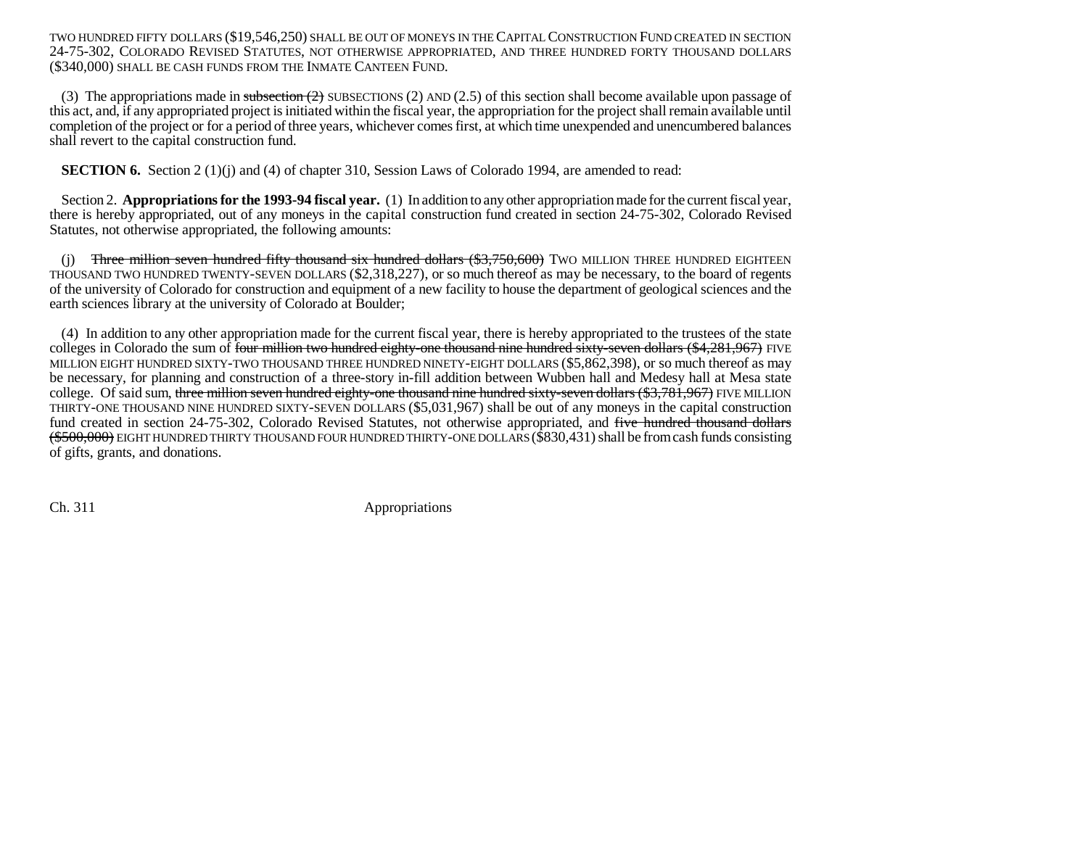TWO HUNDRED FIFTY DOLLARS (\$19,546,250) SHALL BE OUT OF MONEYS IN THE CAPITAL CONSTRUCTION FUND CREATED IN SECTION24-75-302, COLORADO REVISED STATUTES, NOT OTHERWISE APPROPRIATED, AND THREE HUNDRED FORTY THOUSAND DOLLARS (\$340,000) SHALL BE CASH FUNDS FROM THE INMATE CANTEEN FUND.

(3) The appropriations made in subsection  $(2)$  SUBSECTIONS (2) AND (2.5) of this section shall become available upon passage of this act, and, if any appropriated project is initiated within the fiscal year, the appropriation for the project shall remain available until completion of the project or for a period of three years, whichever comes first, at which time unexpended and unencumbered balances shall revert to the capital construction fund.

**SECTION 6.** Section 2 (1)(j) and (4) of chapter 310, Session Laws of Colorado 1994, are amended to read:

Section 2. **Appropriations for the 1993-94 fiscal year.** (1) In addition to any other appropriation made for the current fiscal year, there is hereby appropriated, out of any moneys in the capital construction fund created in section 24-75-302, Colorado Revised Statutes, not otherwise appropriated, the following amounts:

(i) Three million seven hundred fifty thousand six hundred dollars  $(*3,750,600)$  Two MILLION THREE HUNDRED EIGHTEEN THOUSAND TWO HUNDRED TWENTY-SEVEN DOLLARS (\$2,318,227), or so much thereof as may be necessary, to the board of regents of the university of Colorado for construction and equipment of a new facility to house the department of geological sciences and the earth sciences library at the university of Colorado at Boulder;

(4) In addition to any other appropriation made for the current fiscal year, there is hereby appropriated to the trustees of the state colleges in Colorado the sum of four million two hundred eighty-one thousand nine hundred sixty-seven dollars (\$4,281,967) FIVE MILLION EIGHT HUNDRED SIXTY-TWO THOUSAND THREE HUNDRED NINETY-EIGHT DOLLARS (\$5,862,398), or so much thereof as may be necessary, for planning and construction of a three-story in-fill addition between Wubben hall and Medesy hall at Mesa state college. Of said sum, three million seven hundred eighty-one thousand nine hundred sixty-seven dollars  $(\$3,781,967)$  FIVE MILLION THIRTY-ONE THOUSAND NINE HUNDRED SIXTY-SEVEN DOLLARS (\$5,031,967) shall be out of any moneys in the capital construction fund created in section 24-75-302, Colorado Revised Statutes, not otherwise appropriated, and five hundred thousand dollars (\$500,000) EIGHT HUNDRED THIRTY THOUSAND FOUR HUNDRED THIRTY-ONE DOLLARS (\$830,431) shall be from cash funds consisting of gifts, grants, and donations.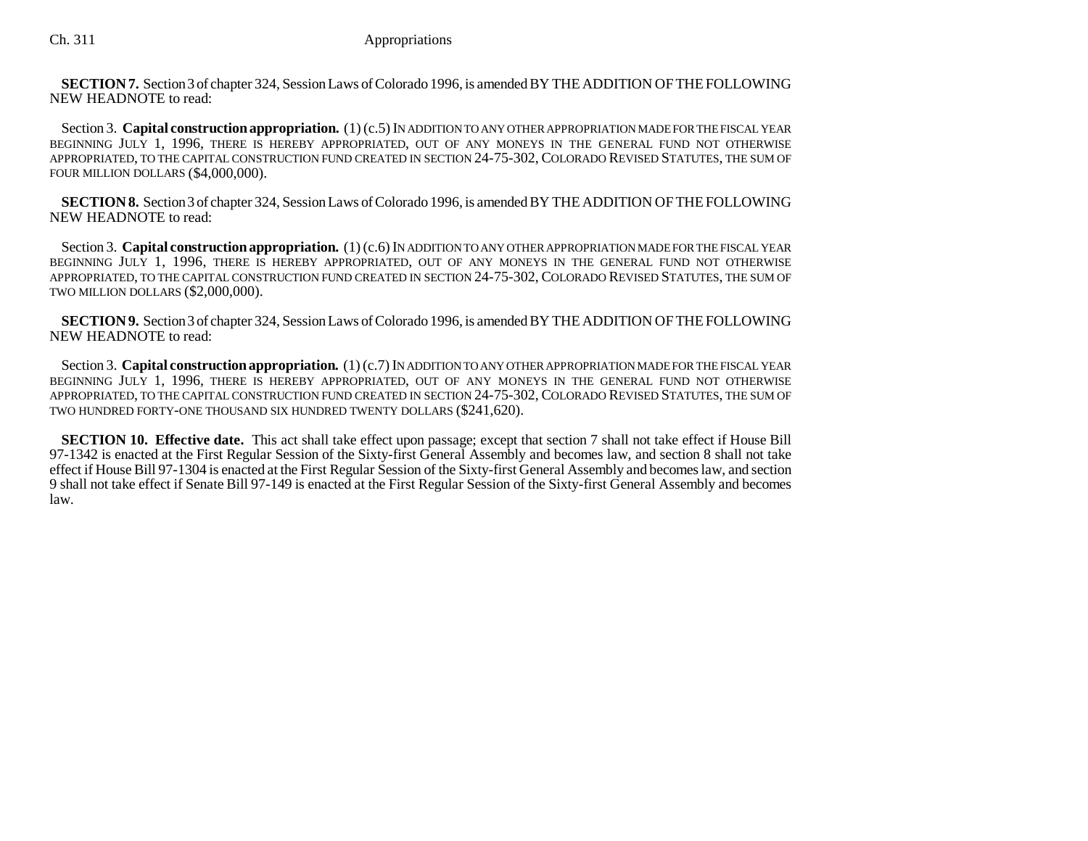**SECTION 7.** Section 3 of chapter 324, Session Laws of Colorado 1996, is amended BY THE ADDITION OF THE FOLLOWING NEW HEADNOTE to read:

Section 3. **Capital construction appropriation.** (1) (c.5) IN ADDITION TO ANY OTHER APPROPRIATION MADE FOR THE FISCAL YEAR BEGINNING JULY 1, 1996, THERE IS HEREBY APPROPRIATED, OUT OF ANY MONEYS IN THE GENERAL FUND NOT OTHERWISE APPROPRIATED, TO THE CAPITAL CONSTRUCTION FUND CREATED IN SECTION 24-75-302, COLORADO REVISED STATUTES, THE SUM OF FOUR MILLION DOLLARS (\$4,000,000).

**SECTION 8.** Section 3 of chapter 324, Session Laws of Colorado 1996, is amended BY THE ADDITION OF THE FOLLOWING NEW HEADNOTE to read:

Section 3. **Capital construction appropriation.** (1) (c.6) IN ADDITION TO ANY OTHER APPROPRIATION MADE FOR THE FISCAL YEAR BEGINNING JULY 1, 1996, THERE IS HEREBY APPROPRIATED, OUT OF ANY MONEYS IN THE GENERAL FUND NOT OTHERWISE APPROPRIATED, TO THE CAPITAL CONSTRUCTION FUND CREATED IN SECTION 24-75-302, COLORADO REVISED STATUTES, THE SUM OF TWO MILLION DOLLARS (\$2,000,000).

**SECTION 9.** Section 3 of chapter 324, Session Laws of Colorado 1996, is amended BY THE ADDITION OF THE FOLLOWING NEW HEADNOTE to read:

Section 3. **Capital construction appropriation.** (1) (c.7) IN ADDITION TO ANY OTHER APPROPRIATION MADE FOR THE FISCAL YEAR BEGINNING JULY 1, 1996, THERE IS HEREBY APPROPRIATED, OUT OF ANY MONEYS IN THE GENERAL FUND NOT OTHERWISE APPROPRIATED, TO THE CAPITAL CONSTRUCTION FUND CREATED IN SECTION 24-75-302, COLORADO REVISED STATUTES, THE SUM OF TWO HUNDRED FORTY-ONE THOUSAND SIX HUNDRED TWENTY DOLLARS (\$241,620).

**SECTION 10. Effective date.** This act shall take effect upon passage; except that section 7 shall not take effect if House Bill 97-1342 is enacted at the First Regular Session of the Sixty-first General Assembly and becomes law, and section 8 shall not take effect if House Bill 97-1304 is enacted at the First Regular Session of the Sixty-first General Assembly and becomes law, and section 9 shall not take effect if Senate Bill 97-149 is enacted at the First Regular Session of the Sixty-first General Assembly and becomes law.